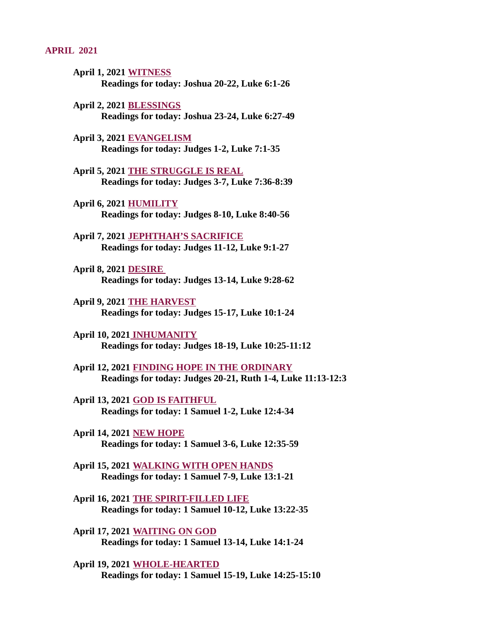#### APRIL 2021

- April 1, 2021 WITNESS [Readings for today: Joshua 20-22, Luke 6:1-26](#page-2-0)
- April 2, 2021 BLESSINGS [Readings for today: Joshua 23-24, Luke 6:27-49](#page-3-0)
- April 3, 2021 EVANGELISM [Readings for today: Judges 1-2, Luke 7:1-35](#page-4-0)
- April 5, 2021 THE STRUGGLE IS REAL [Readings for today: Judges 3-7, Luke 7:36-8:39](#page-6-0)
- April 6, 2021 HUMILITY [Readings for today: Judges 8-10, Luke 8:40-56](#page-8-0)
- April 7, 2021 JEPHTHAH'S SACRIFICE [Readings for today: Judges 11-12, Luke 9:1-27](#page-10-0)
- April 8, 2021 DESIRE [Readings for today: Judges 13-14, Luke 9:28-62](#page-11-0)
- April 9, 2021 THE HARVEST [Readings for today: Judges 15-17, Luke 10:1-24](#page-12-0)
- April 10, 2021 INHUMANITY [Readings for today: Judges 18-19, Luke 10:25-11:12](#page-13-0)
- April 12, 2021 FINDING HOPE IN THE ORDINARY [Readings for today: Judges 20-21, Ruth 1-4, Luke 11:13-12:3](#page-15-0)
- April 13, 2021 GOD IS FAITHFUL [Readings for today: 1 Samuel 1-2, Luke 12:4-34](#page-16-0)
- April 14, 2021 NEW HOPE [Readings for today: 1 Samuel 3-6, Luke 12:35-59](#page-17-0)
- [April 15, 2021 WALKING WITH OPEN HANDS](#page-19-0) Readings for today: 1 Samuel 7-9, Luke 13:1-21
- April 16, 2021 THE SPIRIT-FILLED LIFE [Readings for today: 1 Samuel 10-12, Luke 13:22-35](#page-21-0)
- April 17, 2021 WAITING ON GOD [Readings for today: 1 Samuel 13-14, Luke 14:1-24](#page-23-0)
- April 19, 2021 WHOLE-HEARTED [Readings for today: 1 Samuel 15-19, Luke 14:25-15:10](#page-24-0)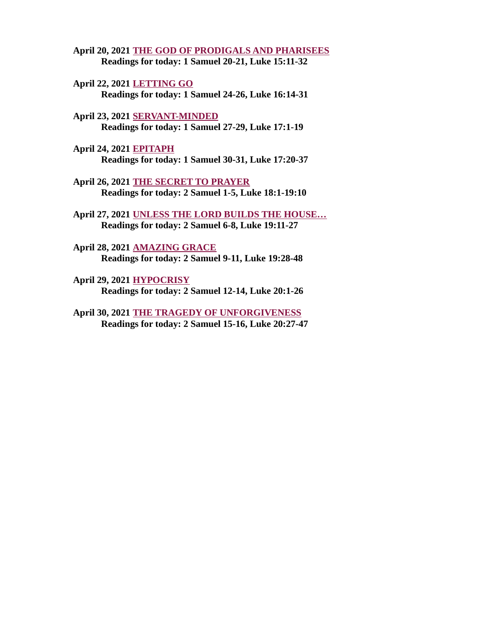- [April 20, 2021 THE GOD OF PRODIGALS AND PHARISEES](#page-25-0) Readings for today: 1 Samuel 20-21, Luke 15:11-32
- April 22, 2021 LETTING GO [Readings for today: 1 Samuel 24-26, Luke 16:14-31](#page-26-0)
- April 23, 2021 SERVANT-MINDED [Readings for today: 1 Samuel 27-29, Luke 17:1-19](#page-28-0)
- April 24, 2021 EPITAPH [Readings for today: 1 Samuel 30-31, Luke 17:20-37](#page-29-0)
- April 26, 2021 THE SECRET TO PRAYER [Readings for today: 2 Samuel 1-5, Luke 18:1-19:10](#page-30-0)
- April 27, 2021 UNLESS THE LORD BUILDS THE HOUSE... Readings for today: 2 Samuel 6-8, Luke 19:11-27
- April 28, 2021 AMAZING GRACE [Readings for today: 2 Samuel 9-11, Luke 19:28-48](#page-34-0)
- April 29, 2021 HYPOCRISY [Readings for today: 2 Samuel 12-14, Luke 20:1-26](#page-36-0)
- [April 30, 2021 THE TRAGEDY OF UNFORGIVENESS](#page-38-0) Readings for today: 2 Samuel 15-16, Luke 20:27-47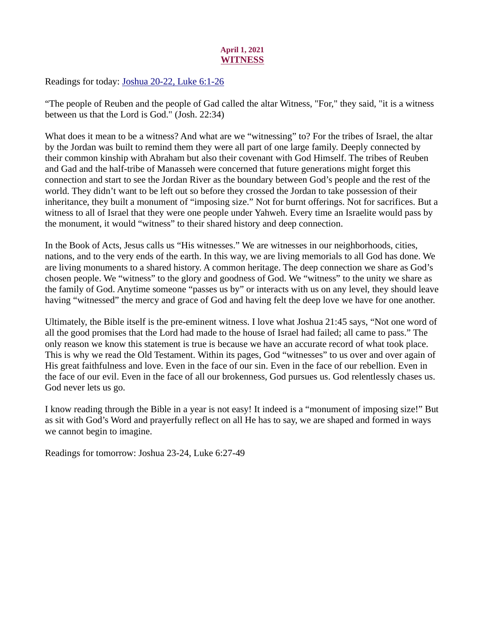# April 1, 2021 **WITNESS**

<span id="page-2-0"></span>Readings for toda[y: Joshua 20-22, Luke 6:1-26](https://www.biblegateway.com/passage/?search=Joshua+20-22%2C+Luke+6%3A1-26&version=ESV)

"The people of Reuben and the people of Gad called the altar Witness, "For," they said, "it is a witness between us that the Lord is God." (Josh. 22:34)

What does it mean to be a witness? And what are we "witnessing" to? For the tribes of Israel, the altar by the Jordan was built to remind them they were all part of one large family. Deeply connected by their common kinship with Abraham but also their covenant with God Himself. The tribes of Reuben and Gad and the half-tribe of Manasseh were concerned that future generations might forget this connection and start to see the Jordan River as the boundary between God's people and the rest of the world. They didn't want to be left out so before they crossed the Jordan to take possession of their inheritance, they built a monument of "imposing size." Not for burnt offerings. Not for sacrifices. But a witness to all of Israel that they were one people under Yahweh. Every time an Israelite would pass by the monument, it would "witness" to their shared history and deep connection.

In the Book of Acts, Jesus calls us "His witnesses." We are witnesses in our neighborhoods, cities, nations, and to the very ends of the earth. In this way, we are living memorials to all God has done. We are living monuments to a shared history. A common heritage. The deep connection we share as God's chosen people. We "witness" to the glory and goodness of God. We "witness" to the unity we share as the family of God. Anytime someone "passes us by" or interacts with us on any level, they should leave having "witnessed" the mercy and grace of God and having felt the deep love we have for one another.

Ultimately, the Bible itself is the pre-eminent witness. I love what Joshua 21:45 says, "Not one word of all the good promises that the Lord had made to the house of Israel had failed; all came to pass." The only reason we know this statement is true is because we have an accurate record of what took place. This is why we read the Old Testament. Within its pages, God "witnesses" to us over and over again of His great faithfulness and love. Even in the face of our sin. Even in the face of our rebellion. Even in the face of our evil. Even in the face of all our brokenness, God pursues us. God relentlessly chases us. God never lets us go.

I know reading through the Bible in a year is not easy! It indeed is a "monument of imposing size!" But as sit with God's Word and prayerfully reflect on all He has to say, we are shaped and formed in ways we cannot begin to imagine.

Readings for tomorrow: Joshua 23-24, Luke 6:27-49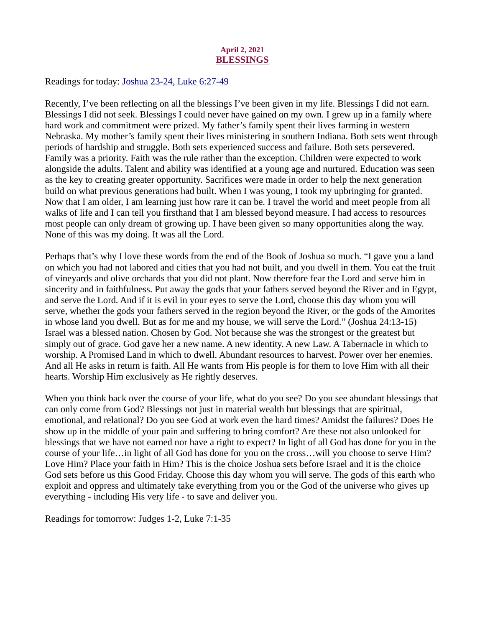# April 2, 2021 BLESSINGS

<span id="page-3-0"></span>Readings for toda[y: Joshua 23-24, Luke 6:27-49](https://www.biblegateway.com/passage/?search=Joshua+23-24%2C+Luke+6%3A27-49&version=ESV)

Recently, I've been reflecting on all the blessings I've been given in my life. Blessings I did not earn. Blessings I did not seek. Blessings I could never have gained on my own. I grew up in a family where hard work and commitment were prized. My father's family spent their lives farming in western Nebraska. My mother's family spent their lives ministering in southern Indiana. Both sets went through periods of hardship and struggle. Both sets experienced success and failure. Both sets persevered. Family was a priority. Faith was the rule rather than the exception. Children were expected to work alongside the adults. Talent and ability was identified at a young age and nurtured. Education was seen as the key to creating greater opportunity. Sacrifices were made in order to help the next generation build on what previous generations had built. When I was young, I took my upbringing for granted. Now that I am older, I am learning just how rare it can be. I travel the world and meet people from all walks of life and I can tell you firsthand that I am blessed beyond measure. I had access to resources most people can only dream of growing up. I have been given so many opportunities along the way. None of this was my doing. It was all the Lord.

Perhaps that's why I love these words from the end of the Book of Joshua so much. "I gave you a land on which you had not labored and cities that you had not built, and you dwell in them. You eat the fruit of vineyards and olive orchards that you did not plant. Now therefore fear the Lord and serve him in sincerity and in faithfulness. Put away the gods that your fathers served beyond the River and in Egypt, and serve the Lord. And if it is evil in your eyes to serve the Lord, choose this day whom you will serve, whether the gods your fathers served in the region beyond the River, or the gods of the Amorites in whose land you dwell. But as for me and my house, we will serve the Lord." (Joshua 24:13-15) Israel was a blessed nation. Chosen by God. Not because she was the strongest or the greatest but simply out of grace. God gave her a new name. A new identity. A new Law. A Tabernacle in which to worship. A Promised Land in which to dwell. Abundant resources to harvest. Power over her enemies. And all He asks in return is faith. All He wants from His people is for them to love Him with all their hearts. Worship Him exclusively as He rightly deserves.

When you think back over the course of your life, what do you see? Do you see abundant blessings that can only come from God? Blessings not just in material wealth but blessings that are spiritual, emotional, and relational? Do you see God at work even the hard times? Amidst the failures? Does He show up in the middle of your pain and suffering to bring comfort? Are these not also unlooked for blessings that we have not earned nor have a right to expect? In light of all God has done for you in the course of your life…in light of all God has done for you on the cross…will you choose to serve Him? Love Him? Place your faith in Him? This is the choice Joshua sets before Israel and it is the choice God sets before us this Good Friday. Choose this day whom you will serve. The gods of this earth who exploit and oppress and ultimately take everything from you or the God of the universe who gives up everything - including His very life - to save and deliver you.

Readings for tomorrow: Judges 1-2, Luke 7:1-35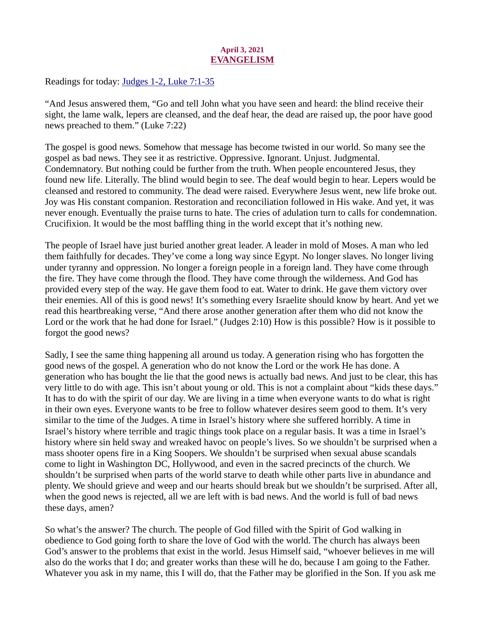# April 3, 2021 EVANGELISM

<span id="page-4-0"></span>Readings for toda[y: Judges 1-2, Luke 7:1-35](https://www.biblegateway.com/passage/?search=Judges+1-2%2C+Luke+7%3A1-35&version=ESV)

"And Jesus answered them, "Go and tell John what you have seen and heard: the blind receive their sight, the lame walk, lepers are cleansed, and the deaf hear, the dead are raised up, the poor have good news preached to them." (Luke 7:22)

The gospel is good news. Somehow that message has become twisted in our world. So many see the gospel as bad news. They see it as restrictive. Oppressive. Ignorant. Unjust. Judgmental. Condemnatory. But nothing could be further from the truth. When people encountered Jesus, they found new life. Literally. The blind would begin to see. The deaf would begin to hear. Lepers would be cleansed and restored to community. The dead were raised. Everywhere Jesus went, new life broke out. Joy was His constant companion. Restoration and reconciliation followed in His wake. And yet, it was never enough. Eventually the praise turns to hate. The cries of adulation turn to calls for condemnation. Crucifixion. It would be the most baffling thing in the world except that it's nothing new.

The people of Israel have just buried another great leader. A leader in mold of Moses. A man who led them faithfully for decades. They've come a long way since Egypt. No longer slaves. No longer living under tyranny and oppression. No longer a foreign people in a foreign land. They have come through the fire. They have come through the flood. They have come through the wilderness. And God has provided every step of the way. He gave them food to eat. Water to drink. He gave them victory over their enemies. All of this is good news! It's something every Israelite should know by heart. And yet we read this heartbreaking verse, "And there arose another generation after them who did not know the Lord or the work that he had done for Israel." (Judges 2:10) How is this possible? How is it possible to forgot the good news?

Sadly, I see the same thing happening all around us today. A generation rising who has forgotten the good news of the gospel. A generation who do not know the Lord or the work He has done. A generation who has bought the lie that the good news is actually bad news. And just to be clear, this has very little to do with age. This isn't about young or old. This is not a complaint about "kids these days." It has to do with the spirit of our day. We are living in a time when everyone wants to do what is right in their own eyes. Everyone wants to be free to follow whatever desires seem good to them. It's very similar to the time of the Judges. A time in Israel's history where she suffered horribly. A time in Israel's history where terrible and tragic things took place on a regular basis. It was a time in Israel's history where sin held sway and wreaked havoc on people's lives. So we shouldn't be surprised when a mass shooter opens fire in a King Soopers. We shouldn't be surprised when sexual abuse scandals come to light in Washington DC, Hollywood, and even in the sacred precincts of the church. We shouldn't be surprised when parts of the world starve to death while other parts live in abundance and plenty. We should grieve and weep and our hearts should break but we shouldn't be surprised. After all, when the good news is rejected, all we are left with is bad news. And the world is full of bad news these days, amen?

So what's the answer? The church. The people of God filled with the Spirit of God walking in obedience to God going forth to share the love of God with the world. The church has always been God's answer to the problems that exist in the world. Jesus Himself said, "whoever believes in me will also do the works that I do; and greater works than these will he do, because I am going to the Father. Whatever you ask in my name, this I will do, that the Father may be glorified in the Son. If you ask me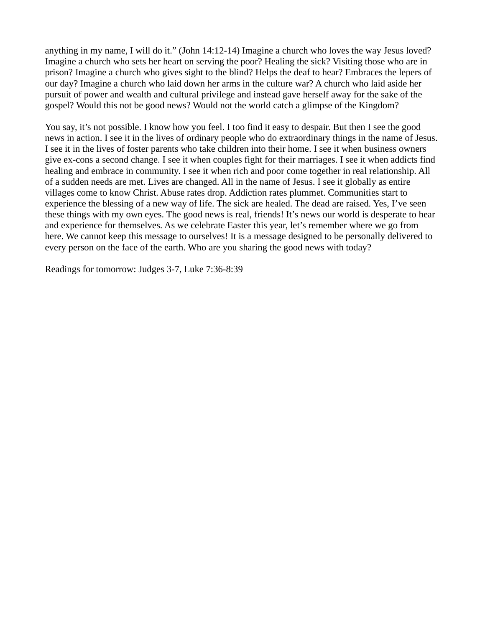anything in my name, I will do it." (John 14:12-14) Imagine a church who loves the way Jesus loved? Imagine a church who sets her heart on serving the poor? Healing the sick? Visiting those who are in prison? Imagine a church who gives sight to the blind? Helps the deaf to hear? Embraces the lepers of our day? Imagine a church who laid down her arms in the culture war? A church who laid aside her pursuit of power and wealth and cultural privilege and instead gave herself away for the sake of the gospel? Would this not be good news? Would not the world catch a glimpse of the Kingdom?

You say, it's not possible. I know how you feel. I too find it easy to despair. But then I see the good news in action. I see it in the lives of ordinary people who do extraordinary things in the name of Jesus. I see it in the lives of foster parents who take children into their home. I see it when business owners give ex-cons a second change. I see it when couples fight for their marriages. I see it when addicts find healing and embrace in community. I see it when rich and poor come together in real relationship. All of a sudden needs are met. Lives are changed. All in the name of Jesus. I see it globally as entire villages come to know Christ. Abuse rates drop. Addiction rates plummet. Communities start to experience the blessing of a new way of life. The sick are healed. The dead are raised. Yes, I've seen these things with my own eyes. The good news is real, friends! It's news our world is desperate to hear and experience for themselves. As we celebrate Easter this year, let's remember where we go from here. We cannot keep this message to ourselves! It is a message designed to be personally delivered to every person on the face of the earth. Who are you sharing the good news with today?

Readings for tomorrow: Judges 3-7, Luke 7:36-8:39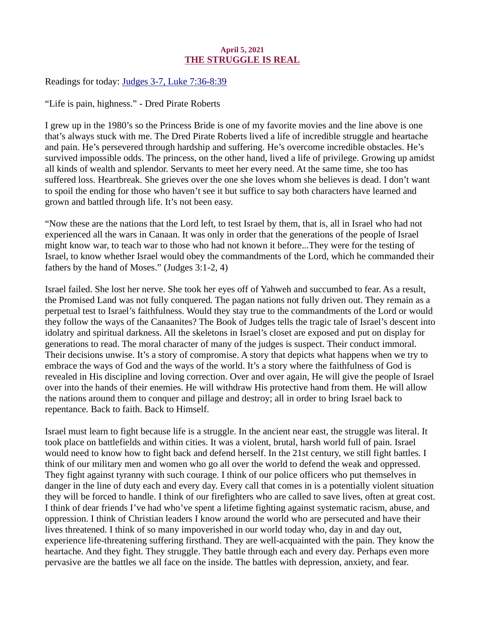# April 5, 2021 THE STRUGGLE IS REAL

<span id="page-6-0"></span>Readings for today[: Judges 3-7, Luke 7:36-8:39](https://www.biblegateway.com/passage/?search=Judges+3-7%2C+Luke+7%3A36-8%3A39&version=ESV)

"Life is pain, highness." - Dred Pirate Roberts

I grew up in the 1980's so the Princess Bride is one of my favorite movies and the line above is one that's always stuck with me. The Dred Pirate Roberts lived a life of incredible struggle and heartache and pain. He's persevered through hardship and suffering. He's overcome incredible obstacles. He's survived impossible odds. The princess, on the other hand, lived a life of privilege. Growing up amidst all kinds of wealth and splendor. Servants to meet her every need. At the same time, she too has suffered loss. Heartbreak. She grieves over the one she loves whom she believes is dead. I don't want to spoil the ending for those who haven't see it but suffice to say both characters have learned and grown and battled through life. It's not been easy.

"Now these are the nations that the Lord left, to test Israel by them, that is, all in Israel who had not experienced all the wars in Canaan. It was only in order that the generations of the people of Israel might know war, to teach war to those who had not known it before...They were for the testing of Israel, to know whether Israel would obey the commandments of the Lord, which he commanded their fathers by the hand of Moses." (Judges 3:1-2, 4)

Israel failed. She lost her nerve. She took her eyes off of Yahweh and succumbed to fear. As a result, the Promised Land was not fully conquered. The pagan nations not fully driven out. They remain as a perpetual test to Israel's faithfulness. Would they stay true to the commandments of the Lord or would they follow the ways of the Canaanites? The Book of Judges tells the tragic tale of Israel's descent into idolatry and spiritual darkness. All the skeletons in Israel's closet are exposed and put on display for generations to read. The moral character of many of the judges is suspect. Their conduct immoral. Their decisions unwise. It's a story of compromise. A story that depicts what happens when we try to embrace the ways of God and the ways of the world. It's a story where the faithfulness of God is revealed in His discipline and loving correction. Over and over again, He will give the people of Israel over into the hands of their enemies. He will withdraw His protective hand from them. He will allow the nations around them to conquer and pillage and destroy; all in order to bring Israel back to repentance. Back to faith. Back to Himself.

Israel must learn to fight because life is a struggle. In the ancient near east, the struggle was literal. It took place on battlefields and within cities. It was a violent, brutal, harsh world full of pain. Israel would need to know how to fight back and defend herself. In the 21st century, we still fight battles. I think of our military men and women who go all over the world to defend the weak and oppressed. They fight against tyranny with such courage. I think of our police officers who put themselves in danger in the line of duty each and every day. Every call that comes in is a potentially violent situation they will be forced to handle. I think of our firefighters who are called to save lives, often at great cost. I think of dear friends I've had who've spent a lifetime fighting against systematic racism, abuse, and oppression. I think of Christian leaders I know around the world who are persecuted and have their lives threatened. I think of so many impoverished in our world today who, day in and day out, experience life-threatening suffering firsthand. They are well-acquainted with the pain. They know the heartache. And they fight. They struggle. They battle through each and every day. Perhaps even more pervasive are the battles we all face on the inside. The battles with depression, anxiety, and fear.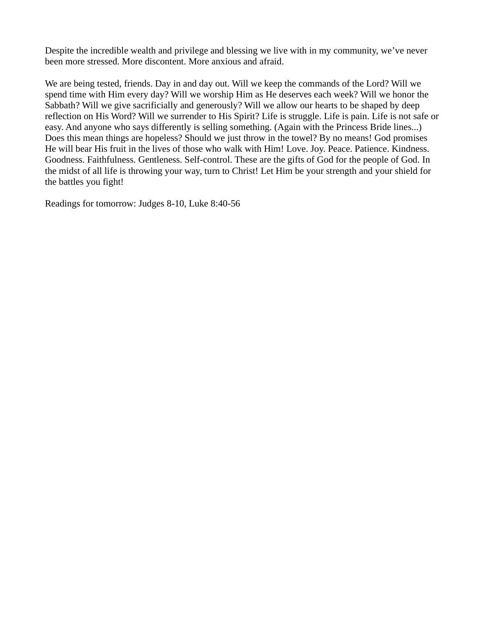Despite the incredible wealth and privilege and blessing we live with in my community, we've never been more stressed. More discontent. More anxious and afraid.

We are being tested, friends. Day in and day out. Will we keep the commands of the Lord? Will we spend time with Him every day? Will we worship Him as He deserves each week? Will we honor the Sabbath? Will we give sacrificially and generously? Will we allow our hearts to be shaped by deep reflection on His Word? Will we surrender to His Spirit? Life is struggle. Life is pain. Life is not safe or easy. And anyone who says differently is selling something. (Again with the Princess Bride lines...) Does this mean things are hopeless? Should we just throw in the towel? By no means! God promises He will bear His fruit in the lives of those who walk with Him! Love. Joy. Peace. Patience. Kindness. Goodness. Faithfulness. Gentleness. Self-control. These are the gifts of God for the people of God. In the midst of all life is throwing your way, turn to Christ! Let Him be your strength and your shield for the battles you fight!

Readings for tomorrow: Judges 8-10, Luke 8:40-56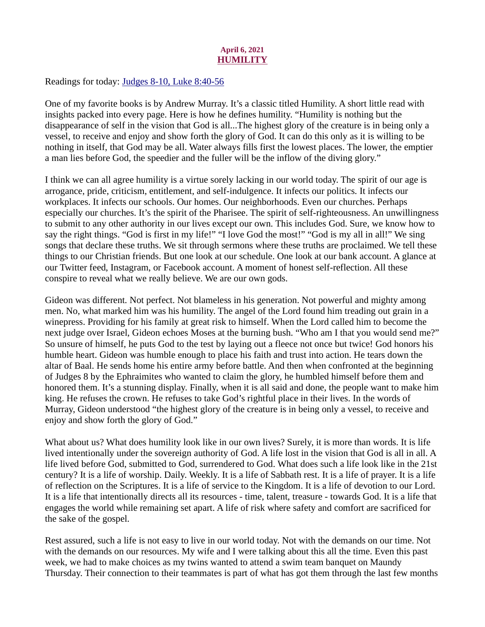# April 6, 2021 **HUMILITY**

<span id="page-8-0"></span>Readings for toda[y: Judges 8-10, Luke 8:40-56](https://www.biblegateway.com/passage/?search=Judges+8-10%2C+Luke+8%3A40-56&version=ESV)

One of my favorite books is by Andrew Murray. It's a classic titled Humility. A short little read with insights packed into every page. Here is how he defines humility. "Humility is nothing but the disappearance of self in the vision that God is all...The highest glory of the creature is in being only a vessel, to receive and enjoy and show forth the glory of God. It can do this only as it is willing to be nothing in itself, that God may be all. Water always fills first the lowest places. The lower, the emptier a man lies before God, the speedier and the fuller will be the inflow of the diving glory."

I think we can all agree humility is a virtue sorely lacking in our world today. The spirit of our age is arrogance, pride, criticism, entitlement, and self-indulgence. It infects our politics. It infects our workplaces. It infects our schools. Our homes. Our neighborhoods. Even our churches. Perhaps especially our churches. It's the spirit of the Pharisee. The spirit of self-righteousness. An unwillingness to submit to any other authority in our lives except our own. This includes God. Sure, we know how to say the right things. "God is first in my life!" "I love God the most!" "God is my all in all!" We sing songs that declare these truths. We sit through sermons where these truths are proclaimed. We tell these things to our Christian friends. But one look at our schedule. One look at our bank account. A glance at our Twitter feed, Instagram, or Facebook account. A moment of honest self-reflection. All these conspire to reveal what we really believe. We are our own gods.

Gideon was different. Not perfect. Not blameless in his generation. Not powerful and mighty among men. No, what marked him was his humility. The angel of the Lord found him treading out grain in a winepress. Providing for his family at great risk to himself. When the Lord called him to become the next judge over Israel, Gideon echoes Moses at the burning bush. "Who am I that you would send me?" So unsure of himself, he puts God to the test by laying out a fleece not once but twice! God honors his humble heart. Gideon was humble enough to place his faith and trust into action. He tears down the altar of Baal. He sends home his entire army before battle. And then when confronted at the beginning of Judges 8 by the Ephraimites who wanted to claim the glory, he humbled himself before them and honored them. It's a stunning display. Finally, when it is all said and done, the people want to make him king. He refuses the crown. He refuses to take God's rightful place in their lives. In the words of Murray, Gideon understood "the highest glory of the creature is in being only a vessel, to receive and enjoy and show forth the glory of God."

What about us? What does humility look like in our own lives? Surely, it is more than words. It is life lived intentionally under the sovereign authority of God. A life lost in the vision that God is all in all. A life lived before God, submitted to God, surrendered to God. What does such a life look like in the 21st century? It is a life of worship. Daily. Weekly. It is a life of Sabbath rest. It is a life of prayer. It is a life of reflection on the Scriptures. It is a life of service to the Kingdom. It is a life of devotion to our Lord. It is a life that intentionally directs all its resources - time, talent, treasure - towards God. It is a life that engages the world while remaining set apart. A life of risk where safety and comfort are sacrificed for the sake of the gospel.

Rest assured, such a life is not easy to live in our world today. Not with the demands on our time. Not with the demands on our resources. My wife and I were talking about this all the time. Even this past week, we had to make choices as my twins wanted to attend a swim team banquet on Maundy Thursday. Their connection to their teammates is part of what has got them through the last few months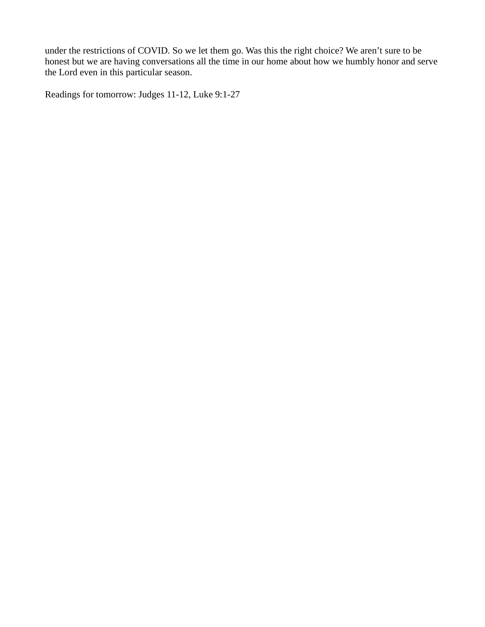under the restrictions of COVID. So we let them go. Was this the right choice? We aren't sure to be honest but we are having conversations all the time in our home about how we humbly honor and serve the Lord even in this particular season.

Readings for tomorrow: Judges 11-12, Luke 9:1-27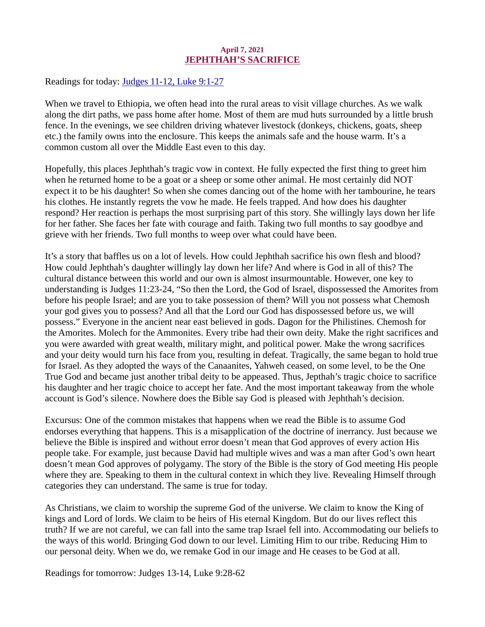# April 7, 2021 JEPHTHAH'S SACRIFICE

<span id="page-10-0"></span>Readings for today: [Judges 11-12, Luke 9:1-27](https://www.biblegateway.com/passage/?search=Judges+11-12%2C+Luke+9%3A1-27&version=ESV)

When we travel to Ethiopia, we often head into the rural areas to visit village churches. As we walk along the dirt paths, we pass home after home. Most of them are mud huts surrounded by a little brush fence. In the evenings, we see children driving whatever livestock (donkeys, chickens, goats, sheep etc.) the family owns into the enclosure. This keeps the animals safe and the house warm. It's a common custom all over the Middle East even to this day.

Hopefully, this places Jephthah's tragic vow in context. He fully expected the first thing to greet him when he returned home to be a goat or a sheep or some other animal. He most certainly did NOT expect it to be his daughter! So when she comes dancing out of the home with her tambourine, he tears his clothes. He instantly regrets the vow he made. He feels trapped. And how does his daughter respond? Her reaction is perhaps the most surprising part of this story. She willingly lays down her life for her father. She faces her fate with courage and faith. Taking two full months to say goodbye and grieve with her friends. Two full months to weep over what could have been.

It's a story that baffles us on a lot of levels. How could Jephthah sacrifice his own flesh and blood? How could Jephthah's daughter willingly lay down her life? And where is God in all of this? The cultural distance between this world and our own is almost insurmountable. However, one key to understanding is Judges 11:23-24, "So then the Lord, the God of Israel, dispossessed the Amorites from before his people Israel; and are you to take possession of them? Will you not possess what Chemosh your god gives you to possess? And all that the Lord our God has dispossessed before us, we will possess." Everyone in the ancient near east believed in gods. Dagon for the Philistines. Chemosh for the Amorites. Molech for the Ammonites. Every tribe had their own deity. Make the right sacrifices and you were awarded with great wealth, military might, and political power. Make the wrong sacrifices and your deity would turn his face from you, resulting in defeat. Tragically, the same began to hold true for Israel. As they adopted the ways of the Canaanites, Yahweh ceased, on some level, to be the One True God and became just another tribal deity to be appeased. Thus, Jepthah's tragic choice to sacrifice his daughter and her tragic choice to accept her fate. And the most important takeaway from the whole account is God's silence. Nowhere does the Bible say God is pleased with Jephthah's decision.

Excursus: One of the common mistakes that happens when we read the Bible is to assume God endorses everything that happens. This is a misapplication of the doctrine of inerrancy. Just because we believe the Bible is inspired and without error doesn't mean that God approves of every action His people take. For example, just because David had multiple wives and was a man after God's own heart doesn't mean God approves of polygamy. The story of the Bible is the story of God meeting His people where they are. Speaking to them in the cultural context in which they live. Revealing Himself through categories they can understand. The same is true for today.

As Christians, we claim to worship the supreme God of the universe. We claim to know the King of kings and Lord of lords. We claim to be heirs of His eternal Kingdom. But do our lives reflect this truth? If we are not careful, we can fall into the same trap Israel fell into. Accommodating our beliefs to the ways of this world. Bringing God down to our level. Limiting Him to our tribe. Reducing Him to our personal deity. When we do, we remake God in our image and He ceases to be God at all.

Readings for tomorrow: Judges 13-14, Luke 9:28-62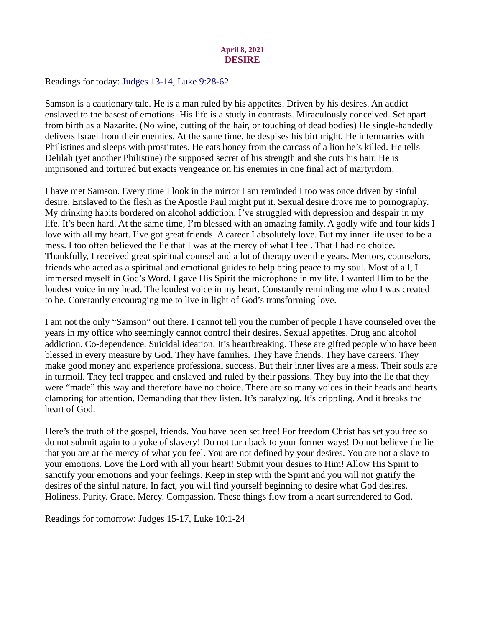## April 8, 2021 DESIRE

<span id="page-11-0"></span>Readings for today[: Judges 13-14, Luke 9:28-62](https://www.biblegateway.com/passage/?search=Judges+13-14%2C+Luke+9%3A28-62&version=ESV)

Samson is a cautionary tale. He is a man ruled by his appetites. Driven by his desires. An addict enslaved to the basest of emotions. His life is a study in contrasts. Miraculously conceived. Set apart from birth as a Nazarite. (No wine, cutting of the hair, or touching of dead bodies) He single-handedly delivers Israel from their enemies. At the same time, he despises his birthright. He intermarries with Philistines and sleeps with prostitutes. He eats honey from the carcass of a lion he's killed. He tells Delilah (yet another Philistine) the supposed secret of his strength and she cuts his hair. He is imprisoned and tortured but exacts vengeance on his enemies in one final act of martyrdom.

I have met Samson. Every time I look in the mirror I am reminded I too was once driven by sinful desire. Enslaved to the flesh as the Apostle Paul might put it. Sexual desire drove me to pornography. My drinking habits bordered on alcohol addiction. I've struggled with depression and despair in my life. It's been hard. At the same time, I'm blessed with an amazing family. A godly wife and four kids I love with all my heart. I've got great friends. A career I absolutely love. But my inner life used to be a mess. I too often believed the lie that I was at the mercy of what I feel. That I had no choice. Thankfully, I received great spiritual counsel and a lot of therapy over the years. Mentors, counselors, friends who acted as a spiritual and emotional guides to help bring peace to my soul. Most of all, I immersed myself in God's Word. I gave His Spirit the microphone in my life. I wanted Him to be the loudest voice in my head. The loudest voice in my heart. Constantly reminding me who I was created to be. Constantly encouraging me to live in light of God's transforming love.

I am not the only "Samson" out there. I cannot tell you the number of people I have counseled over the years in my office who seemingly cannot control their desires. Sexual appetites. Drug and alcohol addiction. Co-dependence. Suicidal ideation. It's heartbreaking. These are gifted people who have been blessed in every measure by God. They have families. They have friends. They have careers. They make good money and experience professional success. But their inner lives are a mess. Their souls are in turmoil. They feel trapped and enslaved and ruled by their passions. They buy into the lie that they were "made" this way and therefore have no choice. There are so many voices in their heads and hearts clamoring for attention. Demanding that they listen. It's paralyzing. It's crippling. And it breaks the heart of God.

Here's the truth of the gospel, friends. You have been set free! For freedom Christ has set you free so do not submit again to a yoke of slavery! Do not turn back to your former ways! Do not believe the lie that you are at the mercy of what you feel. You are not defined by your desires. You are not a slave to your emotions. Love the Lord with all your heart! Submit your desires to Him! Allow His Spirit to sanctify your emotions and your feelings. Keep in step with the Spirit and you will not gratify the desires of the sinful nature. In fact, you will find yourself beginning to desire what God desires. Holiness. Purity. Grace. Mercy. Compassion. These things flow from a heart surrendered to God.

Readings for tomorrow: Judges 15-17, Luke 10:1-24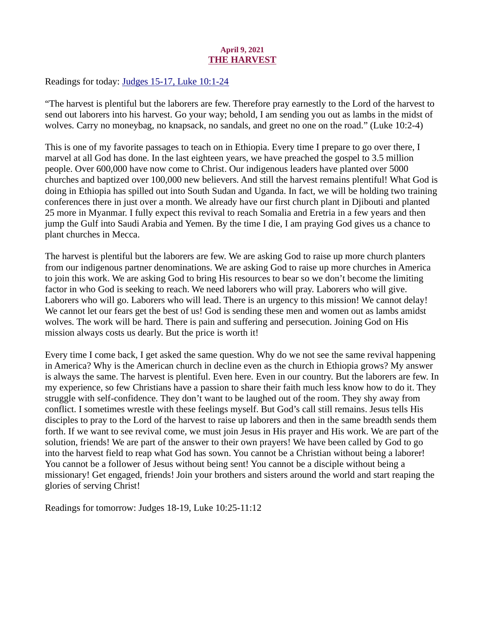# April 9, 2021 THE HARVEST

<span id="page-12-0"></span>Readings for today[: Judges 15-17, Luke 10:1-24](https://www.biblegateway.com/passage/?search=Judges+15-17%2C+Luke+10%3A1-24&version=ESV)

"The harvest is plentiful but the laborers are few. Therefore pray earnestly to the Lord of the harvest to send out laborers into his harvest. Go your way; behold, I am sending you out as lambs in the midst of wolves. Carry no moneybag, no knapsack, no sandals, and greet no one on the road." (Luke 10:2-4)

This is one of my favorite passages to teach on in Ethiopia. Every time I prepare to go over there, I marvel at all God has done. In the last eighteen years, we have preached the gospel to 3.5 million people. Over 600,000 have now come to Christ. Our indigenous leaders have planted over 5000 churches and baptized over 100,000 new believers. And still the harvest remains plentiful! What God is doing in Ethiopia has spilled out into South Sudan and Uganda. In fact, we will be holding two training conferences there in just over a month. We already have our first church plant in Djibouti and planted 25 more in Myanmar. I fully expect this revival to reach Somalia and Eretria in a few years and then jump the Gulf into Saudi Arabia and Yemen. By the time I die, I am praying God gives us a chance to plant churches in Mecca.

The harvest is plentiful but the laborers are few. We are asking God to raise up more church planters from our indigenous partner denominations. We are asking God to raise up more churches in America to join this work. We are asking God to bring His resources to bear so we don't become the limiting factor in who God is seeking to reach. We need laborers who will pray. Laborers who will give. Laborers who will go. Laborers who will lead. There is an urgency to this mission! We cannot delay! We cannot let our fears get the best of us! God is sending these men and women out as lambs amidst wolves. The work will be hard. There is pain and suffering and persecution. Joining God on His mission always costs us dearly. But the price is worth it!

Every time I come back, I get asked the same question. Why do we not see the same revival happening in America? Why is the American church in decline even as the church in Ethiopia grows? My answer is always the same. The harvest is plentiful. Even here. Even in our country. But the laborers are few. In my experience, so few Christians have a passion to share their faith much less know how to do it. They struggle with self-confidence. They don't want to be laughed out of the room. They shy away from conflict. I sometimes wrestle with these feelings myself. But God's call still remains. Jesus tells His disciples to pray to the Lord of the harvest to raise up laborers and then in the same breadth sends them forth. If we want to see revival come, we must join Jesus in His prayer and His work. We are part of the solution, friends! We are part of the answer to their own prayers! We have been called by God to go into the harvest field to reap what God has sown. You cannot be a Christian without being a laborer! You cannot be a follower of Jesus without being sent! You cannot be a disciple without being a missionary! Get engaged, friends! Join your brothers and sisters around the world and start reaping the glories of serving Christ!

Readings for tomorrow: Judges 18-19, Luke 10:25-11:12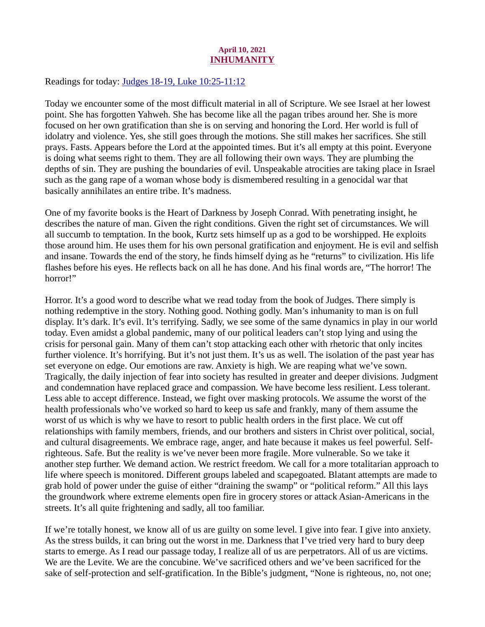# April 10, 2021 INHUMANITY

<span id="page-13-0"></span>Readings for today[: Judges 18-19, Luke 10:25-11:12](https://www.biblegateway.com/passage/?search=Judges+18-19%2C+Luke+10%3A25-11%3A12&version=ESV)

Today we encounter some of the most difficult material in all of Scripture. We see Israel at her lowest point. She has forgotten Yahweh. She has become like all the pagan tribes around her. She is more focused on her own gratification than she is on serving and honoring the Lord. Her world is full of idolatry and violence. Yes, she still goes through the motions. She still makes her sacrifices. She still prays. Fasts. Appears before the Lord at the appointed times. But it's all empty at this point. Everyone is doing what seems right to them. They are all following their own ways. They are plumbing the depths of sin. They are pushing the boundaries of evil. Unspeakable atrocities are taking place in Israel such as the gang rape of a woman whose body is dismembered resulting in a genocidal war that basically annihilates an entire tribe. It's madness.

One of my favorite books is the Heart of Darkness by Joseph Conrad. With penetrating insight, he describes the nature of man. Given the right conditions. Given the right set of circumstances. We will all succumb to temptation. In the book, Kurtz sets himself up as a god to be worshipped. He exploits those around him. He uses them for his own personal gratification and enjoyment. He is evil and selfish and insane. Towards the end of the story, he finds himself dying as he "returns" to civilization. His life flashes before his eyes. He reflects back on all he has done. And his final words are, "The horror! The horror!"

Horror. It's a good word to describe what we read today from the book of Judges. There simply is nothing redemptive in the story. Nothing good. Nothing godly. Man's inhumanity to man is on full display. It's dark. It's evil. It's terrifying. Sadly, we see some of the same dynamics in play in our world today. Even amidst a global pandemic, many of our political leaders can't stop lying and using the crisis for personal gain. Many of them can't stop attacking each other with rhetoric that only incites further violence. It's horrifying. But it's not just them. It's us as well. The isolation of the past year has set everyone on edge. Our emotions are raw. Anxiety is high. We are reaping what we've sown. Tragically, the daily injection of fear into society has resulted in greater and deeper divisions. Judgment and condemnation have replaced grace and compassion. We have become less resilient. Less tolerant. Less able to accept difference. Instead, we fight over masking protocols. We assume the worst of the health professionals who've worked so hard to keep us safe and frankly, many of them assume the worst of us which is why we have to resort to public health orders in the first place. We cut off relationships with family members, friends, and our brothers and sisters in Christ over political, social, and cultural disagreements. We embrace rage, anger, and hate because it makes us feel powerful. Selfrighteous. Safe. But the reality is we've never been more fragile. More vulnerable. So we take it another step further. We demand action. We restrict freedom. We call for a more totalitarian approach to life where speech is monitored. Different groups labeled and scapegoated. Blatant attempts are made to grab hold of power under the guise of either "draining the swamp" or "political reform." All this lays the groundwork where extreme elements open fire in grocery stores or attack Asian-Americans in the streets. It's all quite frightening and sadly, all too familiar.

If we're totally honest, we know all of us are guilty on some level. I give into fear. I give into anxiety. As the stress builds, it can bring out the worst in me. Darkness that I've tried very hard to bury deep starts to emerge. As I read our passage today, I realize all of us are perpetrators. All of us are victims. We are the Levite. We are the concubine. We've sacrificed others and we've been sacrificed for the sake of self-protection and self-gratification. In the Bible's judgment, "None is righteous, no, not one;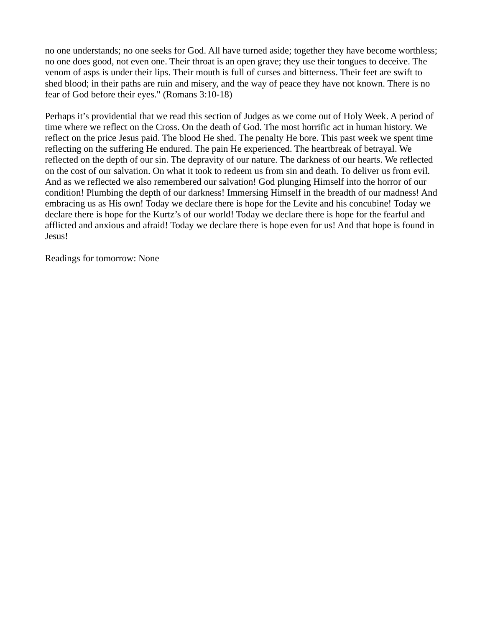no one understands; no one seeks for God. All have turned aside; together they have become worthless; no one does good, not even one. Their throat is an open grave; they use their tongues to deceive. The venom of asps is under their lips. Their mouth is full of curses and bitterness. Their feet are swift to shed blood; in their paths are ruin and misery, and the way of peace they have not known. There is no fear of God before their eyes." (Romans 3:10-18)

Perhaps it's providential that we read this section of Judges as we come out of Holy Week. A period of time where we reflect on the Cross. On the death of God. The most horrific act in human history. We reflect on the price Jesus paid. The blood He shed. The penalty He bore. This past week we spent time reflecting on the suffering He endured. The pain He experienced. The heartbreak of betrayal. We reflected on the depth of our sin. The depravity of our nature. The darkness of our hearts. We reflected on the cost of our salvation. On what it took to redeem us from sin and death. To deliver us from evil. And as we reflected we also remembered our salvation! God plunging Himself into the horror of our condition! Plumbing the depth of our darkness! Immersing Himself in the breadth of our madness! And embracing us as His own! Today we declare there is hope for the Levite and his concubine! Today we declare there is hope for the Kurtz's of our world! Today we declare there is hope for the fearful and afflicted and anxious and afraid! Today we declare there is hope even for us! And that hope is found in Jesus!

Readings for tomorrow: None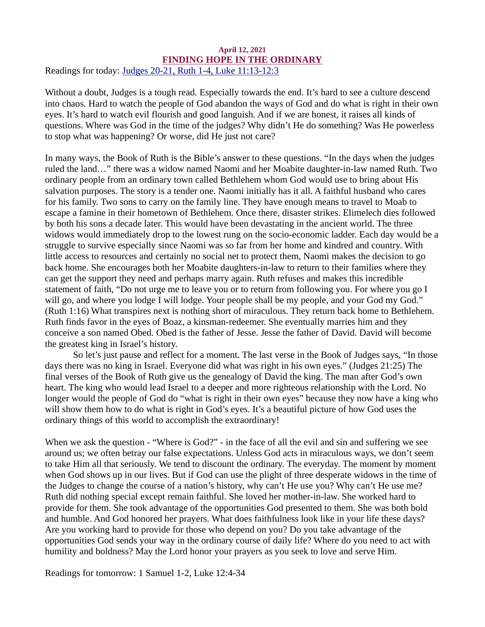#### <span id="page-15-0"></span>April 12, 2021 FINDING HOPE IN THE ORDINARY Readings for today: [Judges 20-21, Ruth 1-4, Luke 11:13-12:3](https://www.biblegateway.com/passage/?search=Judges+20-21%2C+Ruth+1-4%2C+Luke+11%3A13-12%3A3&version=ESV)

Without a doubt, Judges is a tough read. Especially towards the end. It's hard to see a culture descend into chaos. Hard to watch the people of God abandon the ways of God and do what is right in their own eyes. It's hard to watch evil flourish and good languish. And if we are honest, it raises all kinds of questions. Where was God in the time of the judges? Why didn't He do something? Was He powerless to stop what was happening? Or worse, did He just not care?

In many ways, the Book of Ruth is the Bible's answer to these questions. "In the days when the judges ruled the land…" there was a widow named Naomi and her Moabite daughter-in-law named Ruth. Two ordinary people from an ordinary town called Bethlehem whom God would use to bring about His salvation purposes. The story is a tender one. Naomi initially has it all. A faithful husband who cares for his family. Two sons to carry on the family line. They have enough means to travel to Moab to escape a famine in their hometown of Bethlehem. Once there, disaster strikes. Elimelech dies followed by both his sons a decade later. This would have been devastating in the ancient world. The three widows would immediately drop to the lowest rung on the socio-economic ladder. Each day would be a struggle to survive especially since Naomi was so far from her home and kindred and country. With little access to resources and certainly no social net to protect them, Naomi makes the decision to go back home. She encourages both her Moabite daughters-in-law to return to their families where they can get the support they need and perhaps marry again. Ruth refuses and makes this incredible statement of faith, "Do not urge me to leave you or to return from following you. For where you go I will go, and where you lodge I will lodge. Your people shall be my people, and your God my God." (Ruth 1:16) What transpires next is nothing short of miraculous. They return back home to Bethlehem. Ruth finds favor in the eyes of Boaz, a kinsman-redeemer. She eventually marries him and they conceive a son named Obed. Obed is the father of Jesse. Jesse the father of David. David will become the greatest king in Israel's history.

So let's just pause and reflect for a moment. The last verse in the Book of Judges says, "In those days there was no king in Israel. Everyone did what was right in his own eyes." (Judges 21:25) The final verses of the Book of Ruth give us the genealogy of David the king. The man after God's own heart. The king who would lead Israel to a deeper and more righteous relationship with the Lord. No longer would the people of God do "what is right in their own eyes" because they now have a king who will show them how to do what is right in God's eyes. It's a beautiful picture of how God uses the ordinary things of this world to accomplish the extraordinary!

When we ask the question - "Where is God?" - in the face of all the evil and sin and suffering we see around us; we often betray our false expectations. Unless God acts in miraculous ways, we don't seem to take Him all that seriously. We tend to discount the ordinary. The everyday. The moment by moment when God shows up in our lives. But if God can use the plight of three desperate widows in the time of the Judges to change the course of a nation's history, why can't He use you? Why can't He use me? Ruth did nothing special except remain faithful. She loved her mother-in-law. She worked hard to provide for them. She took advantage of the opportunities God presented to them. She was both bold and humble. And God honored her prayers. What does faithfulness look like in your life these days? Are you working hard to provide for those who depend on you? Do you take advantage of the opportunities God sends your way in the ordinary course of daily life? Where do you need to act with humility and boldness? May the Lord honor your prayers as you seek to love and serve Him.

Readings for tomorrow: 1 Samuel 1-2, Luke 12:4-34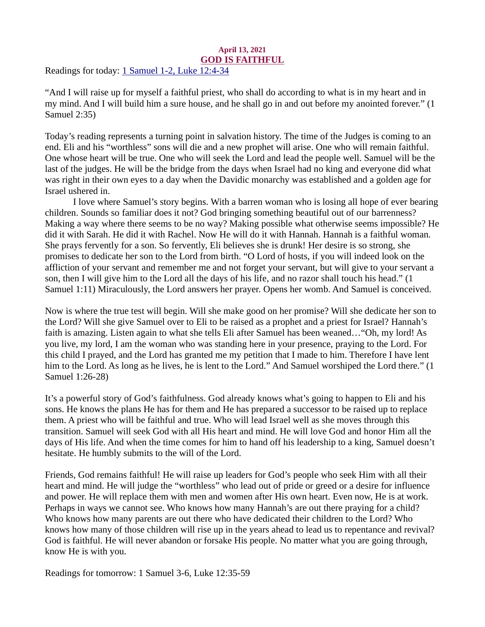#### April 13, 2021 GOD IS FAITHFUL

<span id="page-16-0"></span>Readings for today[: 1 Samuel 1-2, Luke 12:4-34](https://www.biblegateway.com/passage/?search=1+Samuel+1-2%2C+Luke+12%3A4-34&version=ESV)

"And I will raise up for myself a faithful priest, who shall do according to what is in my heart and in my mind. And I will build him a sure house, and he shall go in and out before my anointed forever." (1 Samuel 2:35)

Today's reading represents a turning point in salvation history. The time of the Judges is coming to an end. Eli and his "worthless" sons will die and a new prophet will arise. One who will remain faithful. One whose heart will be true. One who will seek the Lord and lead the people well. Samuel will be the last of the judges. He will be the bridge from the days when Israel had no king and everyone did what was right in their own eyes to a day when the Davidic monarchy was established and a golden age for Israel ushered in.

I love where Samuel's story begins. With a barren woman who is losing all hope of ever bearing children. Sounds so familiar does it not? God bringing something beautiful out of our barrenness? Making a way where there seems to be no way? Making possible what otherwise seems impossible? He did it with Sarah. He did it with Rachel. Now He will do it with Hannah. Hannah is a faithful woman. She prays fervently for a son. So fervently, Eli believes she is drunk! Her desire is so strong, she promises to dedicate her son to the Lord from birth. "O Lord of hosts, if you will indeed look on the affliction of your servant and remember me and not forget your servant, but will give to your servant a son, then I will give him to the Lord all the days of his life, and no razor shall touch his head." (1 Samuel 1:11) Miraculously, the Lord answers her prayer. Opens her womb. And Samuel is conceived.

Now is where the true test will begin. Will she make good on her promise? Will she dedicate her son to the Lord? Will she give Samuel over to Eli to be raised as a prophet and a priest for Israel? Hannah's faith is amazing. Listen again to what she tells Eli after Samuel has been weaned…"Oh, my lord! As you live, my lord, I am the woman who was standing here in your presence, praying to the Lord. For this child I prayed, and the Lord has granted me my petition that I made to him. Therefore I have lent him to the Lord. As long as he lives, he is lent to the Lord." And Samuel worshiped the Lord there." (1 Samuel 1:26-28)

It's a powerful story of God's faithfulness. God already knows what's going to happen to Eli and his sons. He knows the plans He has for them and He has prepared a successor to be raised up to replace them. A priest who will be faithful and true. Who will lead Israel well as she moves through this transition. Samuel will seek God with all His heart and mind. He will love God and honor Him all the days of His life. And when the time comes for him to hand off his leadership to a king, Samuel doesn't hesitate. He humbly submits to the will of the Lord.

Friends, God remains faithful! He will raise up leaders for God's people who seek Him with all their heart and mind. He will judge the "worthless" who lead out of pride or greed or a desire for influence and power. He will replace them with men and women after His own heart. Even now, He is at work. Perhaps in ways we cannot see. Who knows how many Hannah's are out there praying for a child? Who knows how many parents are out there who have dedicated their children to the Lord? Who knows how many of those children will rise up in the years ahead to lead us to repentance and revival? God is faithful. He will never abandon or forsake His people. No matter what you are going through, know He is with you.

Readings for tomorrow: 1 Samuel 3-6, Luke 12:35-59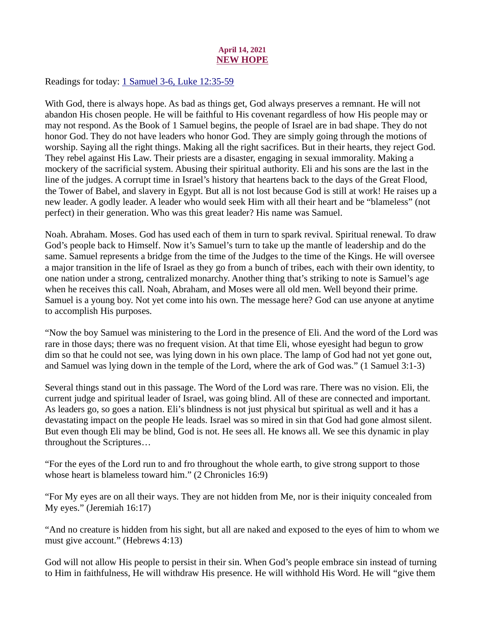# April 14, 2021 NEW HOPE

<span id="page-17-0"></span>Readings for today: [1 Samuel 3-6, Luke 12:35-59](https://www.biblegateway.com/passage/?search=1+Samuel+3-6%2C+Luke+12%3A35-59&version=ESV)

With God, there is always hope. As bad as things get, God always preserves a remnant. He will not abandon His chosen people. He will be faithful to His covenant regardless of how His people may or may not respond. As the Book of 1 Samuel begins, the people of Israel are in bad shape. They do not honor God. They do not have leaders who honor God. They are simply going through the motions of worship. Saying all the right things. Making all the right sacrifices. But in their hearts, they reject God. They rebel against His Law. Their priests are a disaster, engaging in sexual immorality. Making a mockery of the sacrificial system. Abusing their spiritual authority. Eli and his sons are the last in the line of the judges. A corrupt time in Israel's history that heartens back to the days of the Great Flood, the Tower of Babel, and slavery in Egypt. But all is not lost because God is still at work! He raises up a new leader. A godly leader. A leader who would seek Him with all their heart and be "blameless" (not perfect) in their generation. Who was this great leader? His name was Samuel.

Noah. Abraham. Moses. God has used each of them in turn to spark revival. Spiritual renewal. To draw God's people back to Himself. Now it's Samuel's turn to take up the mantle of leadership and do the same. Samuel represents a bridge from the time of the Judges to the time of the Kings. He will oversee a major transition in the life of Israel as they go from a bunch of tribes, each with their own identity, to one nation under a strong, centralized monarchy. Another thing that's striking to note is Samuel's age when he receives this call. Noah, Abraham, and Moses were all old men. Well beyond their prime. Samuel is a young boy. Not yet come into his own. The message here? God can use anyone at anytime to accomplish His purposes.

"Now the boy Samuel was ministering to the Lord in the presence of Eli. And the word of the Lord was rare in those days; there was no frequent vision. At that time Eli, whose eyesight had begun to grow dim so that he could not see, was lying down in his own place. The lamp of God had not yet gone out, and Samuel was lying down in the temple of the Lord, where the ark of God was." (1 Samuel 3:1-3)

Several things stand out in this passage. The Word of the Lord was rare. There was no vision. Eli, the current judge and spiritual leader of Israel, was going blind. All of these are connected and important. As leaders go, so goes a nation. Eli's blindness is not just physical but spiritual as well and it has a devastating impact on the people He leads. Israel was so mired in sin that God had gone almost silent. But even though Eli may be blind, God is not. He sees all. He knows all. We see this dynamic in play throughout the Scriptures…

"For the eyes of the Lord run to and fro throughout the whole earth, to give strong support to those whose heart is blameless toward him." (2 Chronicles 16:9)

"For My eyes are on all their ways. They are not hidden from Me, nor is their iniquity concealed from My eyes." (Jeremiah 16:17)

"And no creature is hidden from his sight, but all are naked and exposed to the eyes of him to whom we must give account." (Hebrews 4:13)

God will not allow His people to persist in their sin. When God's people embrace sin instead of turning to Him in faithfulness, He will withdraw His presence. He will withhold His Word. He will "give them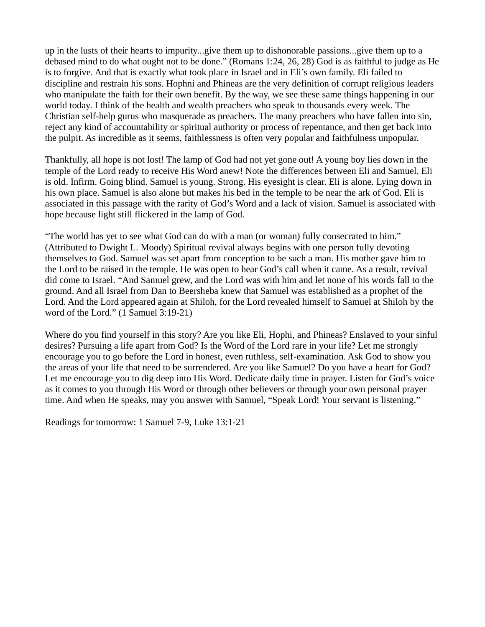up in the lusts of their hearts to impurity...give them up to dishonorable passions...give them up to a debased mind to do what ought not to be done." (Romans 1:24, 26, 28) God is as faithful to judge as He is to forgive. And that is exactly what took place in Israel and in Eli's own family. Eli failed to discipline and restrain his sons. Hophni and Phineas are the very definition of corrupt religious leaders who manipulate the faith for their own benefit. By the way, we see these same things happening in our world today. I think of the health and wealth preachers who speak to thousands every week. The Christian self-help gurus who masquerade as preachers. The many preachers who have fallen into sin, reject any kind of accountability or spiritual authority or process of repentance, and then get back into the pulpit. As incredible as it seems, faithlessness is often very popular and faithfulness unpopular.

Thankfully, all hope is not lost! The lamp of God had not yet gone out! A young boy lies down in the temple of the Lord ready to receive His Word anew! Note the differences between Eli and Samuel. Eli is old. Infirm. Going blind. Samuel is young. Strong. His eyesight is clear. Eli is alone. Lying down in his own place. Samuel is also alone but makes his bed in the temple to be near the ark of God. Eli is associated in this passage with the rarity of God's Word and a lack of vision. Samuel is associated with hope because light still flickered in the lamp of God.

"The world has yet to see what God can do with a man (or woman) fully consecrated to him." (Attributed to Dwight L. Moody) Spiritual revival always begins with one person fully devoting themselves to God. Samuel was set apart from conception to be such a man. His mother gave him to the Lord to be raised in the temple. He was open to hear God's call when it came. As a result, revival did come to Israel. "And Samuel grew, and the Lord was with him and let none of his words fall to the ground. And all Israel from Dan to Beersheba knew that Samuel was established as a prophet of the Lord. And the Lord appeared again at Shiloh, for the Lord revealed himself to Samuel at Shiloh by the word of the Lord." (1 Samuel 3:19-21)

Where do you find yourself in this story? Are you like Eli, Hophi, and Phineas? Enslaved to your sinful desires? Pursuing a life apart from God? Is the Word of the Lord rare in your life? Let me strongly encourage you to go before the Lord in honest, even ruthless, self-examination. Ask God to show you the areas of your life that need to be surrendered. Are you like Samuel? Do you have a heart for God? Let me encourage you to dig deep into His Word. Dedicate daily time in prayer. Listen for God's voice as it comes to you through His Word or through other believers or through your own personal prayer time. And when He speaks, may you answer with Samuel, "Speak Lord! Your servant is listening."

Readings for tomorrow: 1 Samuel 7-9, Luke 13:1-21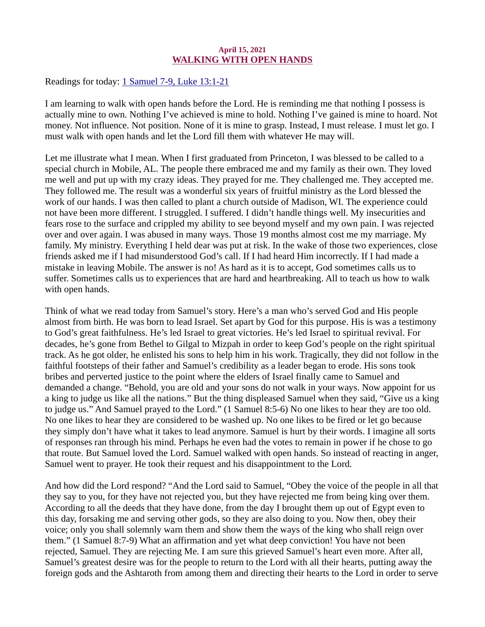#### April 15, 2021 WALKING WITH OPEN HANDS

<span id="page-19-0"></span>Readings for toda[y: 1 Samuel 7-9, Luke 13:1-21](https://www.biblegateway.com/passage/?search=1+Samuel+7-9%2C+Luke+13%3A1-21&version=ESV)

I am learning to walk with open hands before the Lord. He is reminding me that nothing I possess is actually mine to own. Nothing I've achieved is mine to hold. Nothing I've gained is mine to hoard. Not money. Not influence. Not position. None of it is mine to grasp. Instead, I must release. I must let go. I must walk with open hands and let the Lord fill them with whatever He may will.

Let me illustrate what I mean. When I first graduated from Princeton, I was blessed to be called to a special church in Mobile, AL. The people there embraced me and my family as their own. They loved me well and put up with my crazy ideas. They prayed for me. They challenged me. They accepted me. They followed me. The result was a wonderful six years of fruitful ministry as the Lord blessed the work of our hands. I was then called to plant a church outside of Madison, WI. The experience could not have been more different. I struggled. I suffered. I didn't handle things well. My insecurities and fears rose to the surface and crippled my ability to see beyond myself and my own pain. I was rejected over and over again. I was abused in many ways. Those 19 months almost cost me my marriage. My family. My ministry. Everything I held dear was put at risk. In the wake of those two experiences, close friends asked me if I had misunderstood God's call. If I had heard Him incorrectly. If I had made a mistake in leaving Mobile. The answer is no! As hard as it is to accept, God sometimes calls us to suffer. Sometimes calls us to experiences that are hard and heartbreaking. All to teach us how to walk with open hands.

Think of what we read today from Samuel's story. Here's a man who's served God and His people almost from birth. He was born to lead Israel. Set apart by God for this purpose. His is was a testimony to God's great faithfulness. He's led Israel to great victories. He's led Israel to spiritual revival. For decades, he's gone from Bethel to Gilgal to Mizpah in order to keep God's people on the right spiritual track. As he got older, he enlisted his sons to help him in his work. Tragically, they did not follow in the faithful footsteps of their father and Samuel's credibility as a leader began to erode. His sons took bribes and perverted justice to the point where the elders of Israel finally came to Samuel and demanded a change. "Behold, you are old and your sons do not walk in your ways. Now appoint for us a king to judge us like all the nations." But the thing displeased Samuel when they said, "Give us a king to judge us." And Samuel prayed to the Lord." (1 Samuel 8:5-6) No one likes to hear they are too old. No one likes to hear they are considered to be washed up. No one likes to be fired or let go because they simply don't have what it takes to lead anymore. Samuel is hurt by their words. I imagine all sorts of responses ran through his mind. Perhaps he even had the votes to remain in power if he chose to go that route. But Samuel loved the Lord. Samuel walked with open hands. So instead of reacting in anger, Samuel went to prayer. He took their request and his disappointment to the Lord.

And how did the Lord respond? "And the Lord said to Samuel, "Obey the voice of the people in all that they say to you, for they have not rejected you, but they have rejected me from being king over them. According to all the deeds that they have done, from the day I brought them up out of Egypt even to this day, forsaking me and serving other gods, so they are also doing to you. Now then, obey their voice; only you shall solemnly warn them and show them the ways of the king who shall reign over them." (1 Samuel 8:7-9) What an affirmation and yet what deep conviction! You have not been rejected, Samuel. They are rejecting Me. I am sure this grieved Samuel's heart even more. After all, Samuel's greatest desire was for the people to return to the Lord with all their hearts, putting away the foreign gods and the Ashtaroth from among them and directing their hearts to the Lord in order to serve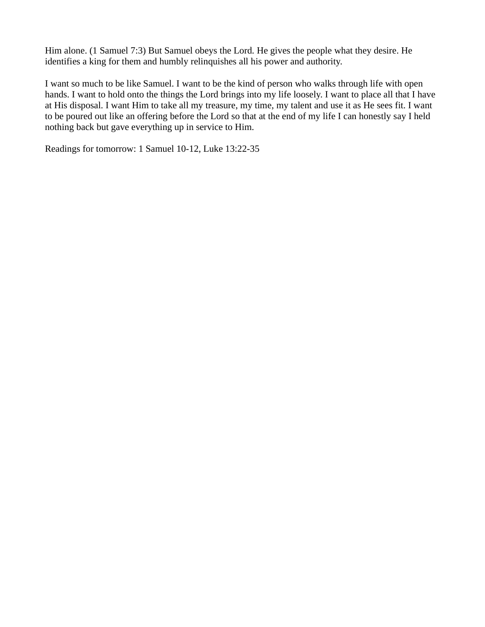Him alone. (1 Samuel 7:3) But Samuel obeys the Lord. He gives the people what they desire. He identifies a king for them and humbly relinquishes all his power and authority.

I want so much to be like Samuel. I want to be the kind of person who walks through life with open hands. I want to hold onto the things the Lord brings into my life loosely. I want to place all that I have at His disposal. I want Him to take all my treasure, my time, my talent and use it as He sees fit. I want to be poured out like an offering before the Lord so that at the end of my life I can honestly say I held nothing back but gave everything up in service to Him.

Readings for tomorrow: 1 Samuel 10-12, Luke 13:22-35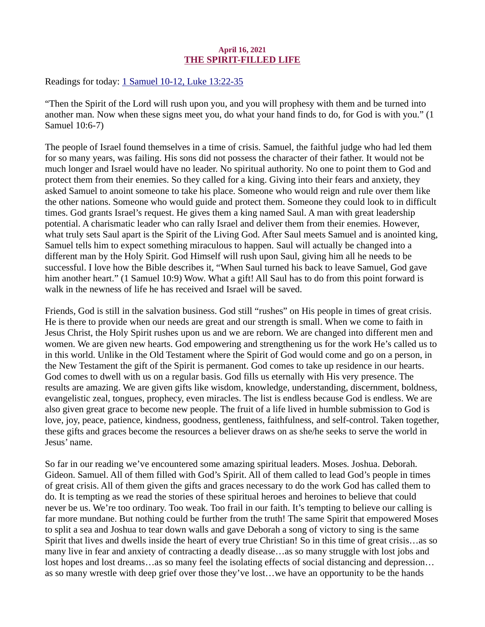# April 16, 2021 THE SPIRIT-FILLED LIFE

<span id="page-21-0"></span>Readings for today[: 1 Samuel 10-12, Luke 13:22-35](https://www.biblegateway.com/passage/?search=1+Samuel+10-12%2C+Luke+13%3A22-35&version=ESV)

"Then the Spirit of the Lord will rush upon you, and you will prophesy with them and be turned into another man. Now when these signs meet you, do what your hand finds to do, for God is with you." (1 Samuel 10:6-7)

The people of Israel found themselves in a time of crisis. Samuel, the faithful judge who had led them for so many years, was failing. His sons did not possess the character of their father. It would not be much longer and Israel would have no leader. No spiritual authority. No one to point them to God and protect them from their enemies. So they called for a king. Giving into their fears and anxiety, they asked Samuel to anoint someone to take his place. Someone who would reign and rule over them like the other nations. Someone who would guide and protect them. Someone they could look to in difficult times. God grants Israel's request. He gives them a king named Saul. A man with great leadership potential. A charismatic leader who can rally Israel and deliver them from their enemies. However, what truly sets Saul apart is the Spirit of the Living God. After Saul meets Samuel and is anointed king, Samuel tells him to expect something miraculous to happen. Saul will actually be changed into a different man by the Holy Spirit. God Himself will rush upon Saul, giving him all he needs to be successful. I love how the Bible describes it, "When Saul turned his back to leave Samuel, God gave him another heart." (1 Samuel 10:9) Wow. What a gift! All Saul has to do from this point forward is walk in the newness of life he has received and Israel will be saved.

Friends, God is still in the salvation business. God still "rushes" on His people in times of great crisis. He is there to provide when our needs are great and our strength is small. When we come to faith in Jesus Christ, the Holy Spirit rushes upon us and we are reborn. We are changed into different men and women. We are given new hearts. God empowering and strengthening us for the work He's called us to in this world. Unlike in the Old Testament where the Spirit of God would come and go on a person, in the New Testament the gift of the Spirit is permanent. God comes to take up residence in our hearts. God comes to dwell with us on a regular basis. God fills us eternally with His very presence. The results are amazing. We are given gifts like wisdom, knowledge, understanding, discernment, boldness, evangelistic zeal, tongues, prophecy, even miracles. The list is endless because God is endless. We are also given great grace to become new people. The fruit of a life lived in humble submission to God is love, joy, peace, patience, kindness, goodness, gentleness, faithfulness, and self-control. Taken together, these gifts and graces become the resources a believer draws on as she/he seeks to serve the world in Jesus' name.

So far in our reading we've encountered some amazing spiritual leaders. Moses. Joshua. Deborah. Gideon. Samuel. All of them filled with God's Spirit. All of them called to lead God's people in times of great crisis. All of them given the gifts and graces necessary to do the work God has called them to do. It is tempting as we read the stories of these spiritual heroes and heroines to believe that could never be us. We're too ordinary. Too weak. Too frail in our faith. It's tempting to believe our calling is far more mundane. But nothing could be further from the truth! The same Spirit that empowered Moses to split a sea and Joshua to tear down walls and gave Deborah a song of victory to sing is the same Spirit that lives and dwells inside the heart of every true Christian! So in this time of great crisis…as so many live in fear and anxiety of contracting a deadly disease…as so many struggle with lost jobs and lost hopes and lost dreams…as so many feel the isolating effects of social distancing and depression… as so many wrestle with deep grief over those they've lost…we have an opportunity to be the hands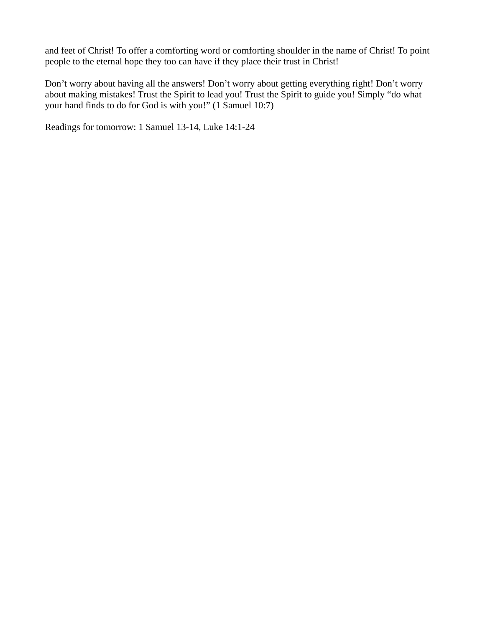and feet of Christ! To offer a comforting word or comforting shoulder in the name of Christ! To point people to the eternal hope they too can have if they place their trust in Christ!

Don't worry about having all the answers! Don't worry about getting everything right! Don't worry about making mistakes! Trust the Spirit to lead you! Trust the Spirit to guide you! Simply "do what your hand finds to do for God is with you!" (1 Samuel 10:7)

Readings for tomorrow: 1 Samuel 13-14, Luke 14:1-24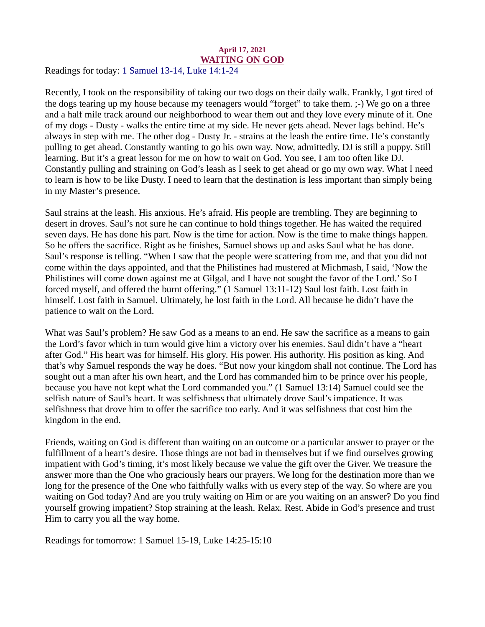#### <span id="page-23-0"></span>April 17, 2021 WAITING ON GOD Readings for today[: 1 Samuel 13-14, Luke 14:1-24](https://www.biblegateway.com/passage/?search=1+Samuel+13-14%2C+Luke+14%3A1-24&version=ESV)

Recently, I took on the responsibility of taking our two dogs on their daily walk. Frankly, I got tired of the dogs tearing up my house because my teenagers would "forget" to take them. ;-) We go on a three and a half mile track around our neighborhood to wear them out and they love every minute of it. One of my dogs - Dusty - walks the entire time at my side. He never gets ahead. Never lags behind. He's always in step with me. The other dog - Dusty Jr. - strains at the leash the entire time. He's constantly pulling to get ahead. Constantly wanting to go his own way. Now, admittedly, DJ is still a puppy. Still learning. But it's a great lesson for me on how to wait on God. You see, I am too often like DJ. Constantly pulling and straining on God's leash as I seek to get ahead or go my own way. What I need to learn is how to be like Dusty. I need to learn that the destination is less important than simply being in my Master's presence.

Saul strains at the leash. His anxious. He's afraid. His people are trembling. They are beginning to desert in droves. Saul's not sure he can continue to hold things together. He has waited the required seven days. He has done his part. Now is the time for action. Now is the time to make things happen. So he offers the sacrifice. Right as he finishes, Samuel shows up and asks Saul what he has done. Saul's response is telling. "When I saw that the people were scattering from me, and that you did not come within the days appointed, and that the Philistines had mustered at Michmash, I said, 'Now the Philistines will come down against me at Gilgal, and I have not sought the favor of the Lord.' So I forced myself, and offered the burnt offering." (1 Samuel 13:11-12) Saul lost faith. Lost faith in himself. Lost faith in Samuel. Ultimately, he lost faith in the Lord. All because he didn't have the patience to wait on the Lord.

What was Saul's problem? He saw God as a means to an end. He saw the sacrifice as a means to gain the Lord's favor which in turn would give him a victory over his enemies. Saul didn't have a "heart after God." His heart was for himself. His glory. His power. His authority. His position as king. And that's why Samuel responds the way he does. "But now your kingdom shall not continue. The Lord has sought out a man after his own heart, and the Lord has commanded him to be prince over his people, because you have not kept what the Lord commanded you." (1 Samuel 13:14) Samuel could see the selfish nature of Saul's heart. It was selfishness that ultimately drove Saul's impatience. It was selfishness that drove him to offer the sacrifice too early. And it was selfishness that cost him the kingdom in the end.

Friends, waiting on God is different than waiting on an outcome or a particular answer to prayer or the fulfillment of a heart's desire. Those things are not bad in themselves but if we find ourselves growing impatient with God's timing, it's most likely because we value the gift over the Giver. We treasure the answer more than the One who graciously hears our prayers. We long for the destination more than we long for the presence of the One who faithfully walks with us every step of the way. So where are you waiting on God today? And are you truly waiting on Him or are you waiting on an answer? Do you find yourself growing impatient? Stop straining at the leash. Relax. Rest. Abide in God's presence and trust Him to carry you all the way home.

Readings for tomorrow: 1 Samuel 15-19, Luke 14:25-15:10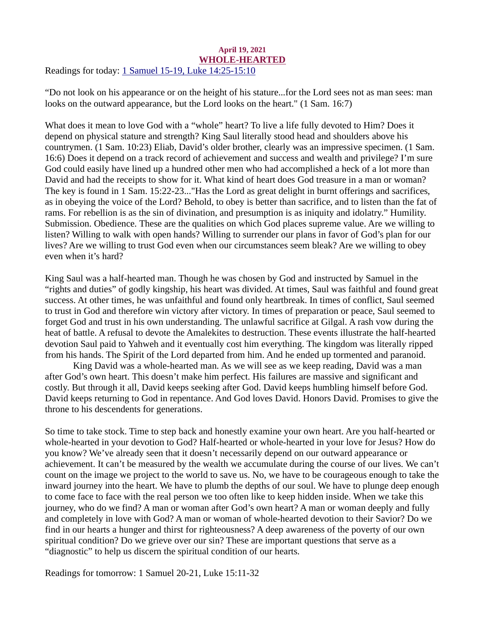#### <span id="page-24-0"></span>April 19, 2021 WHOLE-HEARTED Readings for today: [1 Samuel 15-19, Luke 14:25-15:10](https://www.biblegateway.com/passage/?search=1+Samuel+15-19%2C+Luke+14%3A25-15%3A10&version=ESV)

"Do not look on his appearance or on the height of his stature...for the Lord sees not as man sees: man looks on the outward appearance, but the Lord looks on the heart." (1 Sam. 16:7)

What does it mean to love God with a "whole" heart? To live a life fully devoted to Him? Does it depend on physical stature and strength? King Saul literally stood head and shoulders above his countrymen. (1 Sam. 10:23) Eliab, David's older brother, clearly was an impressive specimen. (1 Sam. 16:6) Does it depend on a track record of achievement and success and wealth and privilege? I'm sure God could easily have lined up a hundred other men who had accomplished a heck of a lot more than David and had the receipts to show for it. What kind of heart does God treasure in a man or woman? The key is found in 1 Sam. 15:22-23..."Has the Lord as great delight in burnt offerings and sacrifices, as in obeying the voice of the Lord? Behold, to obey is better than sacrifice, and to listen than the fat of rams. For rebellion is as the sin of divination, and presumption is as iniquity and idolatry." Humility. Submission. Obedience. These are the qualities on which God places supreme value. Are we willing to listen? Willing to walk with open hands? Willing to surrender our plans in favor of God's plan for our lives? Are we willing to trust God even when our circumstances seem bleak? Are we willing to obey even when it's hard?

King Saul was a half-hearted man. Though he was chosen by God and instructed by Samuel in the "rights and duties" of godly kingship, his heart was divided. At times, Saul was faithful and found great success. At other times, he was unfaithful and found only heartbreak. In times of conflict, Saul seemed to trust in God and therefore win victory after victory. In times of preparation or peace, Saul seemed to forget God and trust in his own understanding. The unlawful sacrifice at Gilgal. A rash vow during the heat of battle. A refusal to devote the Amalekites to destruction. These events illustrate the half-hearted devotion Saul paid to Yahweh and it eventually cost him everything. The kingdom was literally ripped from his hands. The Spirit of the Lord departed from him. And he ended up tormented and paranoid.

King David was a whole-hearted man. As we will see as we keep reading, David was a man after God's own heart. This doesn't make him perfect. His failures are massive and significant and costly. But through it all, David keeps seeking after God. David keeps humbling himself before God. David keeps returning to God in repentance. And God loves David. Honors David. Promises to give the throne to his descendents for generations.

So time to take stock. Time to step back and honestly examine your own heart. Are you half-hearted or whole-hearted in your devotion to God? Half-hearted or whole-hearted in your love for Jesus? How do you know? We've already seen that it doesn't necessarily depend on our outward appearance or achievement. It can't be measured by the wealth we accumulate during the course of our lives. We can't count on the image we project to the world to save us. No, we have to be courageous enough to take the inward journey into the heart. We have to plumb the depths of our soul. We have to plunge deep enough to come face to face with the real person we too often like to keep hidden inside. When we take this journey, who do we find? A man or woman after God's own heart? A man or woman deeply and fully and completely in love with God? A man or woman of whole-hearted devotion to their Savior? Do we find in our hearts a hunger and thirst for righteousness? A deep awareness of the poverty of our own spiritual condition? Do we grieve over our sin? These are important questions that serve as a "diagnostic" to help us discern the spiritual condition of our hearts.

Readings for tomorrow: 1 Samuel 20-21, Luke 15:11-32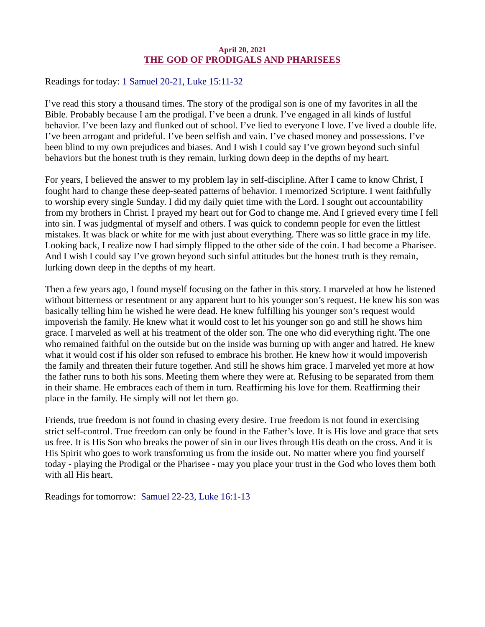# April 20, 2021 THE GOD OF PRODIGALS AND PHARISEES

<span id="page-25-0"></span>Readings for today[: 1 Samuel 20-21, Luke 15:11-32](https://www.biblegateway.com/passage/?search=1+Samuel+20-21%2C+Luke+15%3A11-32&version=ESV)

I've read this story a thousand times. The story of the prodigal son is one of my favorites in all the Bible. Probably because I am the prodigal. I've been a drunk. I've engaged in all kinds of lustful behavior. I've been lazy and flunked out of school. I've lied to everyone I love. I've lived a double life. I've been arrogant and prideful. I've been selfish and vain. I've chased money and possessions. I've been blind to my own prejudices and biases. And I wish I could say I've grown beyond such sinful behaviors but the honest truth is they remain, lurking down deep in the depths of my heart.

For years, I believed the answer to my problem lay in self-discipline. After I came to know Christ, I fought hard to change these deep-seated patterns of behavior. I memorized Scripture. I went faithfully to worship every single Sunday. I did my daily quiet time with the Lord. I sought out accountability from my brothers in Christ. I prayed my heart out for God to change me. And I grieved every time I fell into sin. I was judgmental of myself and others. I was quick to condemn people for even the littlest mistakes. It was black or white for me with just about everything. There was so little grace in my life. Looking back, I realize now I had simply flipped to the other side of the coin. I had become a Pharisee. And I wish I could say I've grown beyond such sinful attitudes but the honest truth is they remain, lurking down deep in the depths of my heart.

Then a few years ago, I found myself focusing on the father in this story. I marveled at how he listened without bitterness or resentment or any apparent hurt to his younger son's request. He knew his son was basically telling him he wished he were dead. He knew fulfilling his younger son's request would impoverish the family. He knew what it would cost to let his younger son go and still he shows him grace. I marveled as well at his treatment of the older son. The one who did everything right. The one who remained faithful on the outside but on the inside was burning up with anger and hatred. He knew what it would cost if his older son refused to embrace his brother. He knew how it would impoverish the family and threaten their future together. And still he shows him grace. I marveled yet more at how the father runs to both his sons. Meeting them where they were at. Refusing to be separated from them in their shame. He embraces each of them in turn. Reaffirming his love for them. Reaffirming their place in the family. He simply will not let them go.

Friends, true freedom is not found in chasing every desire. True freedom is not found in exercising strict self-control. True freedom can only be found in the Father's love. It is His love and grace that sets us free. It is His Son who breaks the power of sin in our lives through His death on the cross. And it is His Spirit who goes to work transforming us from the inside out. No matter where you find yourself today - playing the Prodigal or the Pharisee - may you place your trust in the God who loves them both with all His heart.

Readings for tomorrow: [Samuel 22-23, Luke 16:1-13](https://www.biblegateway.com/passage/?search=Samuel+22-23%2C+Luke+16%3A1-13&version=ESV)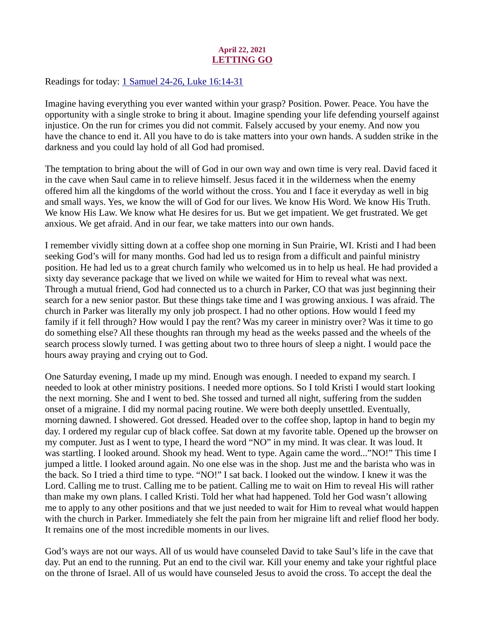# April 22, 2021 LETTING GO

<span id="page-26-0"></span>Readings for today: [1 Samuel 24-26, Luke 16:14-31](https://www.biblegateway.com/passage/?search=1+Samuel+24-26%2C+Luke+16%3A14-31&version=ESV)

Imagine having everything you ever wanted within your grasp? Position. Power. Peace. You have the opportunity with a single stroke to bring it about. Imagine spending your life defending yourself against injustice. On the run for crimes you did not commit. Falsely accused by your enemy. And now you have the chance to end it. All you have to do is take matters into your own hands. A sudden strike in the darkness and you could lay hold of all God had promised.

The temptation to bring about the will of God in our own way and own time is very real. David faced it in the cave when Saul came in to relieve himself. Jesus faced it in the wilderness when the enemy offered him all the kingdoms of the world without the cross. You and I face it everyday as well in big and small ways. Yes, we know the will of God for our lives. We know His Word. We know His Truth. We know His Law. We know what He desires for us. But we get impatient. We get frustrated. We get anxious. We get afraid. And in our fear, we take matters into our own hands.

I remember vividly sitting down at a coffee shop one morning in Sun Prairie, WI. Kristi and I had been seeking God's will for many months. God had led us to resign from a difficult and painful ministry position. He had led us to a great church family who welcomed us in to help us heal. He had provided a sixty day severance package that we lived on while we waited for Him to reveal what was next. Through a mutual friend, God had connected us to a church in Parker, CO that was just beginning their search for a new senior pastor. But these things take time and I was growing anxious. I was afraid. The church in Parker was literally my only job prospect. I had no other options. How would I feed my family if it fell through? How would I pay the rent? Was my career in ministry over? Was it time to go do something else? All these thoughts ran through my head as the weeks passed and the wheels of the search process slowly turned. I was getting about two to three hours of sleep a night. I would pace the hours away praying and crying out to God.

One Saturday evening, I made up my mind. Enough was enough. I needed to expand my search. I needed to look at other ministry positions. I needed more options. So I told Kristi I would start looking the next morning. She and I went to bed. She tossed and turned all night, suffering from the sudden onset of a migraine. I did my normal pacing routine. We were both deeply unsettled. Eventually, morning dawned. I showered. Got dressed. Headed over to the coffee shop, laptop in hand to begin my day. I ordered my regular cup of black coffee. Sat down at my favorite table. Opened up the browser on my computer. Just as I went to type, I heard the word "NO" in my mind. It was clear. It was loud. It was startling. I looked around. Shook my head. Went to type. Again came the word..."NO!" This time I jumped a little. I looked around again. No one else was in the shop. Just me and the barista who was in the back. So I tried a third time to type. "NO!" I sat back. I looked out the window. I knew it was the Lord. Calling me to trust. Calling me to be patient. Calling me to wait on Him to reveal His will rather than make my own plans. I called Kristi. Told her what had happened. Told her God wasn't allowing me to apply to any other positions and that we just needed to wait for Him to reveal what would happen with the church in Parker. Immediately she felt the pain from her migraine lift and relief flood her body. It remains one of the most incredible moments in our lives.

God's ways are not our ways. All of us would have counseled David to take Saul's life in the cave that day. Put an end to the running. Put an end to the civil war. Kill your enemy and take your rightful place on the throne of Israel. All of us would have counseled Jesus to avoid the cross. To accept the deal the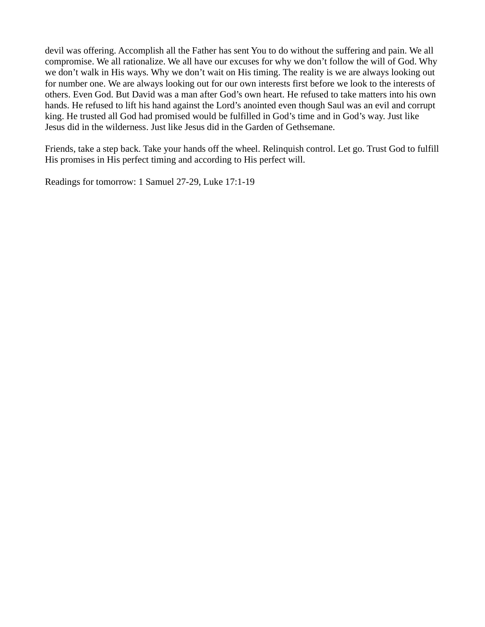devil was offering. Accomplish all the Father has sent You to do without the suffering and pain. We all compromise. We all rationalize. We all have our excuses for why we don't follow the will of God. Why we don't walk in His ways. Why we don't wait on His timing. The reality is we are always looking out for number one. We are always looking out for our own interests first before we look to the interests of others. Even God. But David was a man after God's own heart. He refused to take matters into his own hands. He refused to lift his hand against the Lord's anointed even though Saul was an evil and corrupt king. He trusted all God had promised would be fulfilled in God's time and in God's way. Just like Jesus did in the wilderness. Just like Jesus did in the Garden of Gethsemane.

Friends, take a step back. Take your hands off the wheel. Relinquish control. Let go. Trust God to fulfill His promises in His perfect timing and according to His perfect will.

Readings for tomorrow: 1 Samuel 27-29, Luke 17:1-19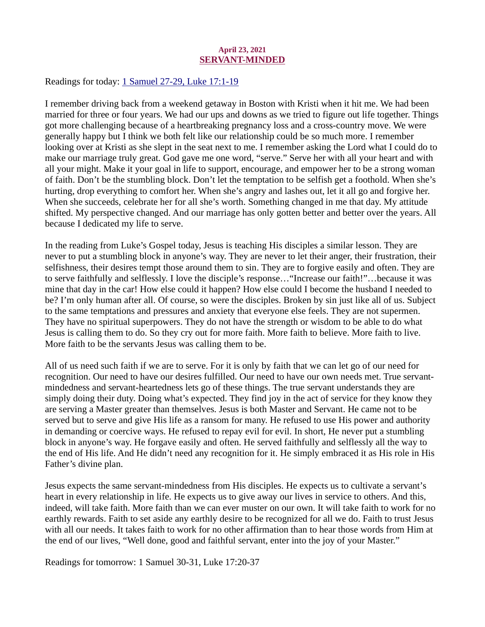#### April 23, 2021 SERVANT-MINDED

<span id="page-28-0"></span>Readings for toda[y: 1 Samuel 27-29, Luke 17:1-19](https://www.biblegateway.com/passage/?search=1+Samuel+27-29%2C+Luke+17%3A1-19&version=ESV)

I remember driving back from a weekend getaway in Boston with Kristi when it hit me. We had been married for three or four years. We had our ups and downs as we tried to figure out life together. Things got more challenging because of a heartbreaking pregnancy loss and a cross-country move. We were generally happy but I think we both felt like our relationship could be so much more. I remember looking over at Kristi as she slept in the seat next to me. I remember asking the Lord what I could do to make our marriage truly great. God gave me one word, "serve." Serve her with all your heart and with all your might. Make it your goal in life to support, encourage, and empower her to be a strong woman of faith. Don't be the stumbling block. Don't let the temptation to be selfish get a foothold. When she's hurting, drop everything to comfort her. When she's angry and lashes out, let it all go and forgive her. When she succeeds, celebrate her for all she's worth. Something changed in me that day. My attitude shifted. My perspective changed. And our marriage has only gotten better and better over the years. All because I dedicated my life to serve.

In the reading from Luke's Gospel today, Jesus is teaching His disciples a similar lesson. They are never to put a stumbling block in anyone's way. They are never to let their anger, their frustration, their selfishness, their desires tempt those around them to sin. They are to forgive easily and often. They are to serve faithfully and selflessly. I love the disciple's response…"Increase our faith!"…because it was mine that day in the car! How else could it happen? How else could I become the husband I needed to be? I'm only human after all. Of course, so were the disciples. Broken by sin just like all of us. Subject to the same temptations and pressures and anxiety that everyone else feels. They are not supermen. They have no spiritual superpowers. They do not have the strength or wisdom to be able to do what Jesus is calling them to do. So they cry out for more faith. More faith to believe. More faith to live. More faith to be the servants Jesus was calling them to be.

All of us need such faith if we are to serve. For it is only by faith that we can let go of our need for recognition. Our need to have our desires fulfilled. Our need to have our own needs met. True servantmindedness and servant-heartedness lets go of these things. The true servant understands they are simply doing their duty. Doing what's expected. They find joy in the act of service for they know they are serving a Master greater than themselves. Jesus is both Master and Servant. He came not to be served but to serve and give His life as a ransom for many. He refused to use His power and authority in demanding or coercive ways. He refused to repay evil for evil. In short, He never put a stumbling block in anyone's way. He forgave easily and often. He served faithfully and selflessly all the way to the end of His life. And He didn't need any recognition for it. He simply embraced it as His role in His Father's divine plan.

Jesus expects the same servant-mindedness from His disciples. He expects us to cultivate a servant's heart in every relationship in life. He expects us to give away our lives in service to others. And this, indeed, will take faith. More faith than we can ever muster on our own. It will take faith to work for no earthly rewards. Faith to set aside any earthly desire to be recognized for all we do. Faith to trust Jesus with all our needs. It takes faith to work for no other affirmation than to hear those words from Him at the end of our lives, "Well done, good and faithful servant, enter into the joy of your Master."

Readings for tomorrow: 1 Samuel 30-31, Luke 17:20-37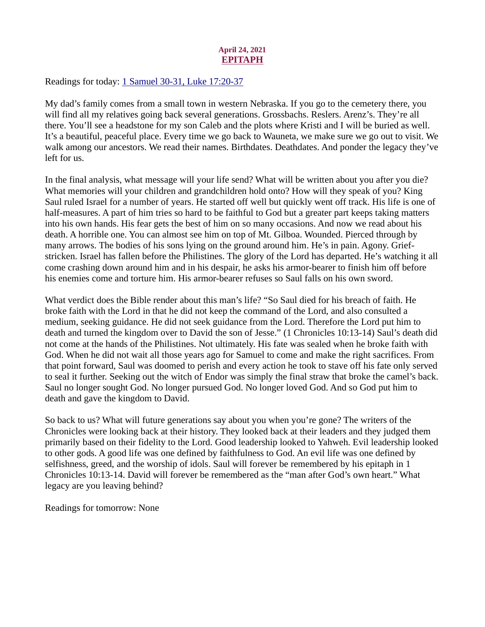# April 24, 2021 EPITAPH

<span id="page-29-0"></span>Readings for today: [1 Samuel 30-31, Luke 17:20-37](https://www.biblegateway.com/passage/?search=1+Samuel+30-31%2C+Luke+17%3A20-37&version=ESV)

My dad's family comes from a small town in western Nebraska. If you go to the cemetery there, you will find all my relatives going back several generations. Grossbachs. Reslers. Arenz's. They're all there. You'll see a headstone for my son Caleb and the plots where Kristi and I will be buried as well. It's a beautiful, peaceful place. Every time we go back to Wauneta, we make sure we go out to visit. We walk among our ancestors. We read their names. Birthdates. Deathdates. And ponder the legacy they've left for us.

In the final analysis, what message will your life send? What will be written about you after you die? What memories will your children and grandchildren hold onto? How will they speak of you? King Saul ruled Israel for a number of years. He started off well but quickly went off track. His life is one of half-measures. A part of him tries so hard to be faithful to God but a greater part keeps taking matters into his own hands. His fear gets the best of him on so many occasions. And now we read about his death. A horrible one. You can almost see him on top of Mt. Gilboa. Wounded. Pierced through by many arrows. The bodies of his sons lying on the ground around him. He's in pain. Agony. Griefstricken. Israel has fallen before the Philistines. The glory of the Lord has departed. He's watching it all come crashing down around him and in his despair, he asks his armor-bearer to finish him off before his enemies come and torture him. His armor-bearer refuses so Saul falls on his own sword.

What verdict does the Bible render about this man's life? "So Saul died for his breach of faith. He broke faith with the Lord in that he did not keep the command of the Lord, and also consulted a medium, seeking guidance. He did not seek guidance from the Lord. Therefore the Lord put him to death and turned the kingdom over to David the son of Jesse." (1 Chronicles 10:13-14) Saul's death did not come at the hands of the Philistines. Not ultimately. His fate was sealed when he broke faith with God. When he did not wait all those years ago for Samuel to come and make the right sacrifices. From that point forward, Saul was doomed to perish and every action he took to stave off his fate only served to seal it further. Seeking out the witch of Endor was simply the final straw that broke the camel's back. Saul no longer sought God. No longer pursued God. No longer loved God. And so God put him to death and gave the kingdom to David.

So back to us? What will future generations say about you when you're gone? The writers of the Chronicles were looking back at their history. They looked back at their leaders and they judged them primarily based on their fidelity to the Lord. Good leadership looked to Yahweh. Evil leadership looked to other gods. A good life was one defined by faithfulness to God. An evil life was one defined by selfishness, greed, and the worship of idols. Saul will forever be remembered by his epitaph in 1 Chronicles 10:13-14. David will forever be remembered as the "man after God's own heart." What legacy are you leaving behind?

Readings for tomorrow: None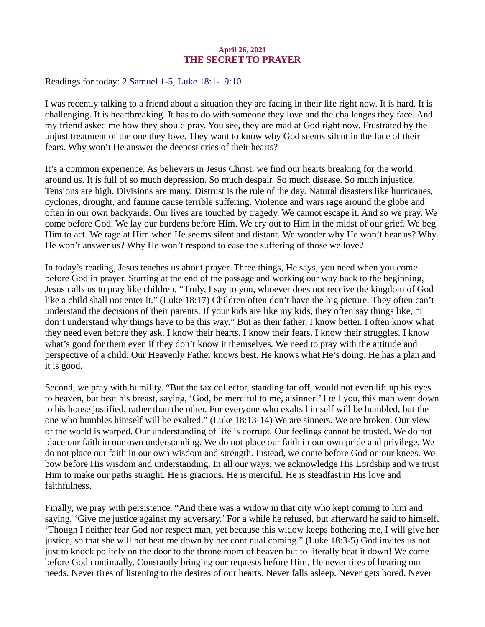#### April 26, 2021 THE SECRET TO PRAYER

<span id="page-30-0"></span>Readings for today: [2 Samuel 1-5, Luke 18:1-19:10](https://www.biblegateway.com/passage/?search=2+Samuel+1-5%2C+Luke+18%3A1-19%3A10&version=ESV)

I was recently talking to a friend about a situation they are facing in their life right now. It is hard. It is challenging. It is heartbreaking. It has to do with someone they love and the challenges they face. And my friend asked me how they should pray. You see, they are mad at God right now. Frustrated by the unjust treatment of the one they love. They want to know why God seems silent in the face of their fears. Why won't He answer the deepest cries of their hearts?

It's a common experience. As believers in Jesus Christ, we find our hearts breaking for the world around us. It is full of so much depression. So much despair. So much disease. So much injustice. Tensions are high. Divisions are many. Distrust is the rule of the day. Natural disasters like hurricanes, cyclones, drought, and famine cause terrible suffering. Violence and wars rage around the globe and often in our own backyards. Our lives are touched by tragedy. We cannot escape it. And so we pray. We come before God. We lay our burdens before Him. We cry out to Him in the midst of our grief. We beg Him to act. We rage at Him when He seems silent and distant. We wonder why He won't hear us? Why He won't answer us? Why He won't respond to ease the suffering of those we love?

In today's reading, Jesus teaches us about prayer. Three things, He says, you need when you come before God in prayer. Starting at the end of the passage and working our way back to the beginning, Jesus calls us to pray like children. "Truly, I say to you, whoever does not receive the kingdom of God like a child shall not enter it." (Luke 18:17) Children often don't have the big picture. They often can't understand the decisions of their parents. If your kids are like my kids, they often say things like, "I don't understand why things have to be this way." But as their father, I know better. I often know what they need even before they ask. I know their hearts. I know their fears. I know their struggles. I know what's good for them even if they don't know it themselves. We need to pray with the attitude and perspective of a child. Our Heavenly Father knows best. He knows what He's doing. He has a plan and it is good.

Second, we pray with humility. "But the tax collector, standing far off, would not even lift up his eyes to heaven, but beat his breast, saying, 'God, be merciful to me, a sinner!' I tell you, this man went down to his house justified, rather than the other. For everyone who exalts himself will be humbled, but the one who humbles himself will be exalted." (Luke 18:13-14) We are sinners. We are broken. Our view of the world is warped. Our understanding of life is corrupt. Our feelings cannot be trusted. We do not place our faith in our own understanding. We do not place our faith in our own pride and privilege. We do not place our faith in our own wisdom and strength. Instead, we come before God on our knees. We bow before His wisdom and understanding. In all our ways, we acknowledge His Lordship and we trust Him to make our paths straight. He is gracious. He is merciful. He is steadfast in His love and faithfulness.

Finally, we pray with persistence. "And there was a widow in that city who kept coming to him and saying, 'Give me justice against my adversary.' For a while he refused, but afterward he said to himself, 'Though I neither fear God nor respect man, yet because this widow keeps bothering me, I will give her justice, so that she will not beat me down by her continual coming." (Luke 18:3-5) God invites us not just to knock politely on the door to the throne room of heaven but to literally beat it down! We come before God continually. Constantly bringing our requests before Him. He never tires of hearing our needs. Never tires of listening to the desires of our hearts. Never falls asleep. Never gets bored. Never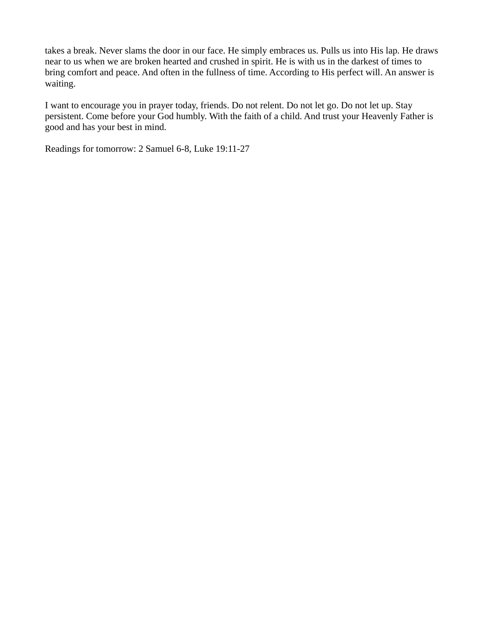takes a break. Never slams the door in our face. He simply embraces us. Pulls us into His lap. He draws near to us when we are broken hearted and crushed in spirit. He is with us in the darkest of times to bring comfort and peace. And often in the fullness of time. According to His perfect will. An answer is waiting.

I want to encourage you in prayer today, friends. Do not relent. Do not let go. Do not let up. Stay persistent. Come before your God humbly. With the faith of a child. And trust your Heavenly Father is good and has your best in mind.

Readings for tomorrow: 2 Samuel 6-8, Luke 19:11-27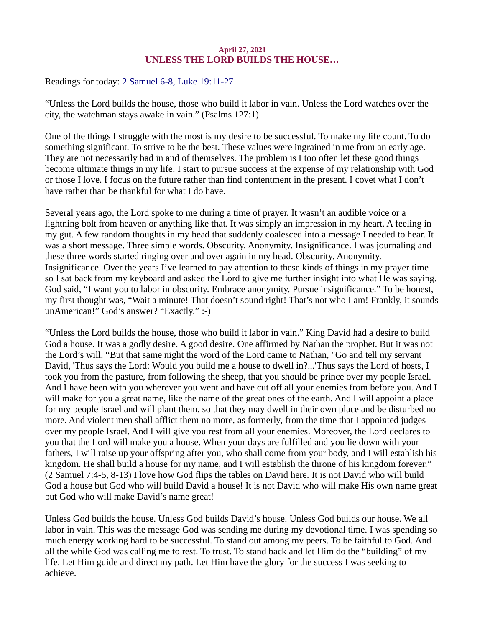# April 27, 2021 UNLESS THE LORD BUILDS THE HOUSE…

<span id="page-32-0"></span>Readings for today: [2 Samuel 6-8, Luke 19:11-27](https://www.biblegateway.com/passage/?search=2+Samuel+6-8%2C+Luke+19%3A11-27&version=ESV)

"Unless the Lord builds the house, those who build it labor in vain. Unless the Lord watches over the city, the watchman stays awake in vain." (Psalms 127:1)

One of the things I struggle with the most is my desire to be successful. To make my life count. To do something significant. To strive to be the best. These values were ingrained in me from an early age. They are not necessarily bad in and of themselves. The problem is I too often let these good things become ultimate things in my life. I start to pursue success at the expense of my relationship with God or those I love. I focus on the future rather than find contentment in the present. I covet what I don't have rather than be thankful for what I do have.

Several years ago, the Lord spoke to me during a time of prayer. It wasn't an audible voice or a lightning bolt from heaven or anything like that. It was simply an impression in my heart. A feeling in my gut. A few random thoughts in my head that suddenly coalesced into a message I needed to hear. It was a short message. Three simple words. Obscurity. Anonymity. Insignificance. I was journaling and these three words started ringing over and over again in my head. Obscurity. Anonymity. Insignificance. Over the years I've learned to pay attention to these kinds of things in my prayer time so I sat back from my keyboard and asked the Lord to give me further insight into what He was saying. God said, "I want you to labor in obscurity. Embrace anonymity. Pursue insignificance." To be honest, my first thought was, "Wait a minute! That doesn't sound right! That's not who I am! Frankly, it sounds unAmerican!" God's answer? "Exactly." :-)

"Unless the Lord builds the house, those who build it labor in vain." King David had a desire to build God a house. It was a godly desire. A good desire. One affirmed by Nathan the prophet. But it was not the Lord's will. "But that same night the word of the Lord came to Nathan, "Go and tell my servant David, 'Thus says the Lord: Would you build me a house to dwell in?...'Thus says the Lord of hosts, I took you from the pasture, from following the sheep, that you should be prince over my people Israel. And I have been with you wherever you went and have cut off all your enemies from before you. And I will make for you a great name, like the name of the great ones of the earth. And I will appoint a place for my people Israel and will plant them, so that they may dwell in their own place and be disturbed no more. And violent men shall afflict them no more, as formerly, from the time that I appointed judges over my people Israel. And I will give you rest from all your enemies. Moreover, the Lord declares to you that the Lord will make you a house. When your days are fulfilled and you lie down with your fathers, I will raise up your offspring after you, who shall come from your body, and I will establish his kingdom. He shall build a house for my name, and I will establish the throne of his kingdom forever." (2 Samuel 7:4-5, 8-13) I love how God flips the tables on David here. It is not David who will build God a house but God who will build David a house! It is not David who will make His own name great but God who will make David's name great!

Unless God builds the house. Unless God builds David's house. Unless God builds our house. We all labor in vain. This was the message God was sending me during my devotional time. I was spending so much energy working hard to be successful. To stand out among my peers. To be faithful to God. And all the while God was calling me to rest. To trust. To stand back and let Him do the "building" of my life. Let Him guide and direct my path. Let Him have the glory for the success I was seeking to achieve.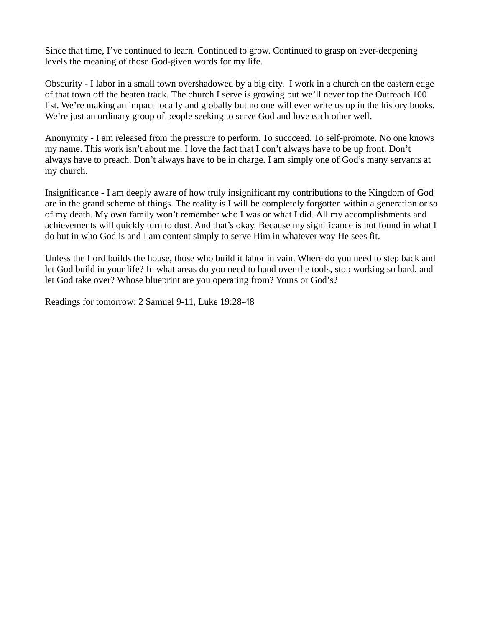Since that time, I've continued to learn. Continued to grow. Continued to grasp on ever-deepening levels the meaning of those God-given words for my life.

Obscurity - I labor in a small town overshadowed by a big city. I work in a church on the eastern edge of that town off the beaten track. The church I serve is growing but we'll never top the Outreach 100 list. We're making an impact locally and globally but no one will ever write us up in the history books. We're just an ordinary group of people seeking to serve God and love each other well.

Anonymity - I am released from the pressure to perform. To succceed. To self-promote. No one knows my name. This work isn't about me. I love the fact that I don't always have to be up front. Don't always have to preach. Don't always have to be in charge. I am simply one of God's many servants at my church.

Insignificance - I am deeply aware of how truly insignificant my contributions to the Kingdom of God are in the grand scheme of things. The reality is I will be completely forgotten within a generation or so of my death. My own family won't remember who I was or what I did. All my accomplishments and achievements will quickly turn to dust. And that's okay. Because my significance is not found in what I do but in who God is and I am content simply to serve Him in whatever way He sees fit.

Unless the Lord builds the house, those who build it labor in vain. Where do you need to step back and let God build in your life? In what areas do you need to hand over the tools, stop working so hard, and let God take over? Whose blueprint are you operating from? Yours or God's?

Readings for tomorrow: 2 Samuel 9-11, Luke 19:28-48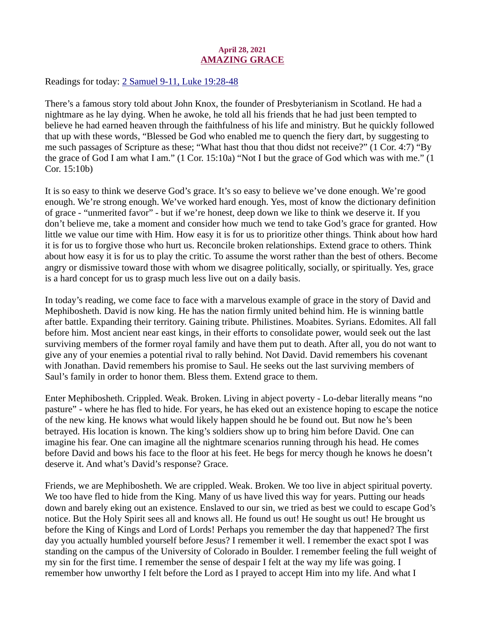# April 28, 2021 AMAZING GRACE

<span id="page-34-0"></span>Readings for today[: 2 Samuel 9-11, Luke 19:28-48](https://www.biblegateway.com/passage/?search=2+Samuel+9-11%2C+Luke+19%3A28-48&version=ESV)

There's a famous story told about John Knox, the founder of Presbyterianism in Scotland. He had a nightmare as he lay dying. When he awoke, he told all his friends that he had just been tempted to believe he had earned heaven through the faithfulness of his life and ministry. But he quickly followed that up with these words, "Blessed be God who enabled me to quench the fiery dart, by suggesting to me such passages of Scripture as these; "What hast thou that thou didst not receive?" (1 Cor. 4:7) "By the grace of God I am what I am." (1 Cor. 15:10a) "Not I but the grace of God which was with me." (1 Cor. 15:10b)

It is so easy to think we deserve God's grace. It's so easy to believe we've done enough. We're good enough. We're strong enough. We've worked hard enough. Yes, most of know the dictionary definition of grace - "unmerited favor" - but if we're honest, deep down we like to think we deserve it. If you don't believe me, take a moment and consider how much we tend to take God's grace for granted. How little we value our time with Him. How easy it is for us to prioritize other things. Think about how hard it is for us to forgive those who hurt us. Reconcile broken relationships. Extend grace to others. Think about how easy it is for us to play the critic. To assume the worst rather than the best of others. Become angry or dismissive toward those with whom we disagree politically, socially, or spiritually. Yes, grace is a hard concept for us to grasp much less live out on a daily basis.

In today's reading, we come face to face with a marvelous example of grace in the story of David and Mephibosheth. David is now king. He has the nation firmly united behind him. He is winning battle after battle. Expanding their territory. Gaining tribute. Philistines. Moabites. Syrians. Edomites. All fall before him. Most ancient near east kings, in their efforts to consolidate power, would seek out the last surviving members of the former royal family and have them put to death. After all, you do not want to give any of your enemies a potential rival to rally behind. Not David. David remembers his covenant with Jonathan. David remembers his promise to Saul. He seeks out the last surviving members of Saul's family in order to honor them. Bless them. Extend grace to them.

Enter Mephibosheth. Crippled. Weak. Broken. Living in abject poverty - Lo-debar literally means "no pasture" - where he has fled to hide. For years, he has eked out an existence hoping to escape the notice of the new king. He knows what would likely happen should he be found out. But now he's been betrayed. His location is known. The king's soldiers show up to bring him before David. One can imagine his fear. One can imagine all the nightmare scenarios running through his head. He comes before David and bows his face to the floor at his feet. He begs for mercy though he knows he doesn't deserve it. And what's David's response? Grace.

Friends, we are Mephibosheth. We are crippled. Weak. Broken. We too live in abject spiritual poverty. We too have fled to hide from the King. Many of us have lived this way for years. Putting our heads down and barely eking out an existence. Enslaved to our sin, we tried as best we could to escape God's notice. But the Holy Spirit sees all and knows all. He found us out! He sought us out! He brought us before the King of Kings and Lord of Lords! Perhaps you remember the day that happened? The first day you actually humbled yourself before Jesus? I remember it well. I remember the exact spot I was standing on the campus of the University of Colorado in Boulder. I remember feeling the full weight of my sin for the first time. I remember the sense of despair I felt at the way my life was going. I remember how unworthy I felt before the Lord as I prayed to accept Him into my life. And what I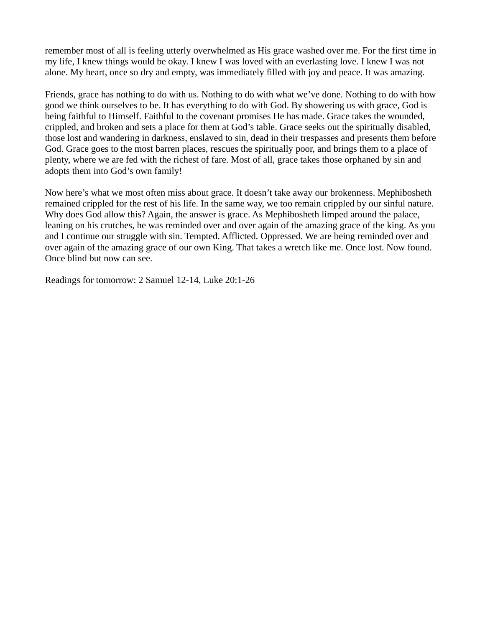remember most of all is feeling utterly overwhelmed as His grace washed over me. For the first time in my life, I knew things would be okay. I knew I was loved with an everlasting love. I knew I was not alone. My heart, once so dry and empty, was immediately filled with joy and peace. It was amazing.

Friends, grace has nothing to do with us. Nothing to do with what we've done. Nothing to do with how good we think ourselves to be. It has everything to do with God. By showering us with grace, God is being faithful to Himself. Faithful to the covenant promises He has made. Grace takes the wounded, crippled, and broken and sets a place for them at God's table. Grace seeks out the spiritually disabled, those lost and wandering in darkness, enslaved to sin, dead in their trespasses and presents them before God. Grace goes to the most barren places, rescues the spiritually poor, and brings them to a place of plenty, where we are fed with the richest of fare. Most of all, grace takes those orphaned by sin and adopts them into God's own family!

Now here's what we most often miss about grace. It doesn't take away our brokenness. Mephibosheth remained crippled for the rest of his life. In the same way, we too remain crippled by our sinful nature. Why does God allow this? Again, the answer is grace. As Mephibosheth limped around the palace, leaning on his crutches, he was reminded over and over again of the amazing grace of the king. As you and I continue our struggle with sin. Tempted. Afflicted. Oppressed. We are being reminded over and over again of the amazing grace of our own King. That takes a wretch like me. Once lost. Now found. Once blind but now can see.

Readings for tomorrow: 2 Samuel 12-14, Luke 20:1-26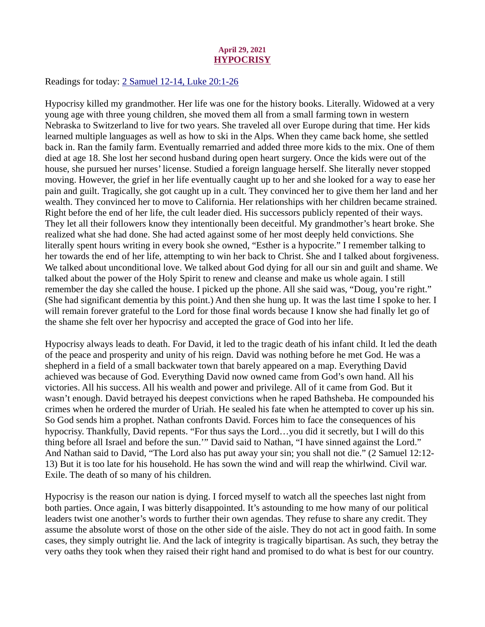#### April 29, 2021 **HYPOCRISY**

<span id="page-36-0"></span>Readings for today[: 2 Samuel 12-14, Luke 20:1-26](https://www.biblegateway.com/passage/?search=2+Samuel+12-14%2C+Luke+20%3A1-26&version=ESV)

Hypocrisy killed my grandmother. Her life was one for the history books. Literally. Widowed at a very young age with three young children, she moved them all from a small farming town in western Nebraska to Switzerland to live for two years. She traveled all over Europe during that time. Her kids learned multiple languages as well as how to ski in the Alps. When they came back home, she settled back in. Ran the family farm. Eventually remarried and added three more kids to the mix. One of them died at age 18. She lost her second husband during open heart surgery. Once the kids were out of the house, she pursued her nurses' license. Studied a foreign language herself. She literally never stopped moving. However, the grief in her life eventually caught up to her and she looked for a way to ease her pain and guilt. Tragically, she got caught up in a cult. They convinced her to give them her land and her wealth. They convinced her to move to California. Her relationships with her children became strained. Right before the end of her life, the cult leader died. His successors publicly repented of their ways. They let all their followers know they intentionally been deceitful. My grandmother's heart broke. She realized what she had done. She had acted against some of her most deeply held convictions. She literally spent hours writing in every book she owned, "Esther is a hypocrite." I remember talking to her towards the end of her life, attempting to win her back to Christ. She and I talked about forgiveness. We talked about unconditional love. We talked about God dying for all our sin and guilt and shame. We talked about the power of the Holy Spirit to renew and cleanse and make us whole again. I still remember the day she called the house. I picked up the phone. All she said was, "Doug, you're right." (She had significant dementia by this point.) And then she hung up. It was the last time I spoke to her. I will remain forever grateful to the Lord for those final words because I know she had finally let go of the shame she felt over her hypocrisy and accepted the grace of God into her life.

Hypocrisy always leads to death. For David, it led to the tragic death of his infant child. It led the death of the peace and prosperity and unity of his reign. David was nothing before he met God. He was a shepherd in a field of a small backwater town that barely appeared on a map. Everything David achieved was because of God. Everything David now owned came from God's own hand. All his victories. All his success. All his wealth and power and privilege. All of it came from God. But it wasn't enough. David betrayed his deepest convictions when he raped Bathsheba. He compounded his crimes when he ordered the murder of Uriah. He sealed his fate when he attempted to cover up his sin. So God sends him a prophet. Nathan confronts David. Forces him to face the consequences of his hypocrisy. Thankfully, David repents. "For thus says the Lord…you did it secretly, but I will do this thing before all Israel and before the sun.'" David said to Nathan, "I have sinned against the Lord." And Nathan said to David, "The Lord also has put away your sin; you shall not die." (2 Samuel 12:12- 13) But it is too late for his household. He has sown the wind and will reap the whirlwind. Civil war. Exile. The death of so many of his children.

Hypocrisy is the reason our nation is dying. I forced myself to watch all the speeches last night from both parties. Once again, I was bitterly disappointed. It's astounding to me how many of our political leaders twist one another's words to further their own agendas. They refuse to share any credit. They assume the absolute worst of those on the other side of the aisle. They do not act in good faith. In some cases, they simply outright lie. And the lack of integrity is tragically bipartisan. As such, they betray the very oaths they took when they raised their right hand and promised to do what is best for our country.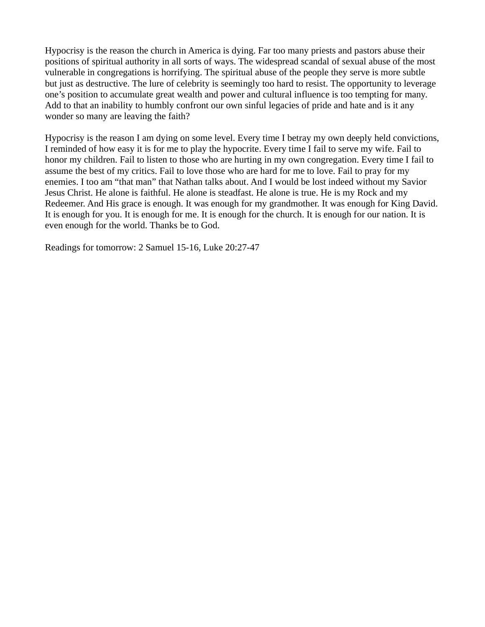Hypocrisy is the reason the church in America is dying. Far too many priests and pastors abuse their positions of spiritual authority in all sorts of ways. The widespread scandal of sexual abuse of the most vulnerable in congregations is horrifying. The spiritual abuse of the people they serve is more subtle but just as destructive. The lure of celebrity is seemingly too hard to resist. The opportunity to leverage one's position to accumulate great wealth and power and cultural influence is too tempting for many. Add to that an inability to humbly confront our own sinful legacies of pride and hate and is it any wonder so many are leaving the faith?

Hypocrisy is the reason I am dying on some level. Every time I betray my own deeply held convictions, I reminded of how easy it is for me to play the hypocrite. Every time I fail to serve my wife. Fail to honor my children. Fail to listen to those who are hurting in my own congregation. Every time I fail to assume the best of my critics. Fail to love those who are hard for me to love. Fail to pray for my enemies. I too am "that man" that Nathan talks about. And I would be lost indeed without my Savior Jesus Christ. He alone is faithful. He alone is steadfast. He alone is true. He is my Rock and my Redeemer. And His grace is enough. It was enough for my grandmother. It was enough for King David. It is enough for you. It is enough for me. It is enough for the church. It is enough for our nation. It is even enough for the world. Thanks be to God.

Readings for tomorrow: 2 Samuel 15-16, Luke 20:27-47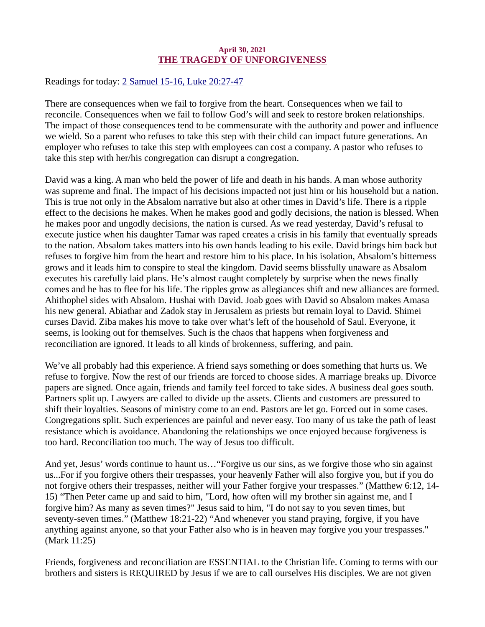# April 30, 2021 THE TRAGEDY OF UNFORGIVENESS

<span id="page-38-0"></span>Readings for toda[y: 2 Samuel 15-16, Luke 20:27-47](https://www.biblegateway.com/passage/?search=2+Samuel+15-16%2C+Luke+20%3A27-47&version=ESV)

There are consequences when we fail to forgive from the heart. Consequences when we fail to reconcile. Consequences when we fail to follow God's will and seek to restore broken relationships. The impact of those consequences tend to be commensurate with the authority and power and influence we wield. So a parent who refuses to take this step with their child can impact future generations. An employer who refuses to take this step with employees can cost a company. A pastor who refuses to take this step with her/his congregation can disrupt a congregation.

David was a king. A man who held the power of life and death in his hands. A man whose authority was supreme and final. The impact of his decisions impacted not just him or his household but a nation. This is true not only in the Absalom narrative but also at other times in David's life. There is a ripple effect to the decisions he makes. When he makes good and godly decisions, the nation is blessed. When he makes poor and ungodly decisions, the nation is cursed. As we read yesterday, David's refusal to execute justice when his daughter Tamar was raped creates a crisis in his family that eventually spreads to the nation. Absalom takes matters into his own hands leading to his exile. David brings him back but refuses to forgive him from the heart and restore him to his place. In his isolation, Absalom's bitterness grows and it leads him to conspire to steal the kingdom. David seems blissfully unaware as Absalom executes his carefully laid plans. He's almost caught completely by surprise when the news finally comes and he has to flee for his life. The ripples grow as allegiances shift and new alliances are formed. Ahithophel sides with Absalom. Hushai with David. Joab goes with David so Absalom makes Amasa his new general. Abiathar and Zadok stay in Jerusalem as priests but remain loyal to David. Shimei curses David. Ziba makes his move to take over what's left of the household of Saul. Everyone, it seems, is looking out for themselves. Such is the chaos that happens when forgiveness and reconciliation are ignored. It leads to all kinds of brokenness, suffering, and pain.

We've all probably had this experience. A friend says something or does something that hurts us. We refuse to forgive. Now the rest of our friends are forced to choose sides. A marriage breaks up. Divorce papers are signed. Once again, friends and family feel forced to take sides. A business deal goes south. Partners split up. Lawyers are called to divide up the assets. Clients and customers are pressured to shift their loyalties. Seasons of ministry come to an end. Pastors are let go. Forced out in some cases. Congregations split. Such experiences are painful and never easy. Too many of us take the path of least resistance which is avoidance. Abandoning the relationships we once enjoyed because forgiveness is too hard. Reconciliation too much. The way of Jesus too difficult.

And yet, Jesus' words continue to haunt us…"Forgive us our sins, as we forgive those who sin against us...For if you forgive others their trespasses, your heavenly Father will also forgive you, but if you do not forgive others their trespasses, neither will your Father forgive your trespasses." (Matthew 6:12, 14- 15) "Then Peter came up and said to him, "Lord, how often will my brother sin against me, and I forgive him? As many as seven times?" Jesus said to him, "I do not say to you seven times, but seventy-seven times." (Matthew 18:21-22) "And whenever you stand praying, forgive, if you have anything against anyone, so that your Father also who is in heaven may forgive you your trespasses." (Mark 11:25)

Friends, forgiveness and reconciliation are ESSENTIAL to the Christian life. Coming to terms with our brothers and sisters is REQUIRED by Jesus if we are to call ourselves His disciples. We are not given